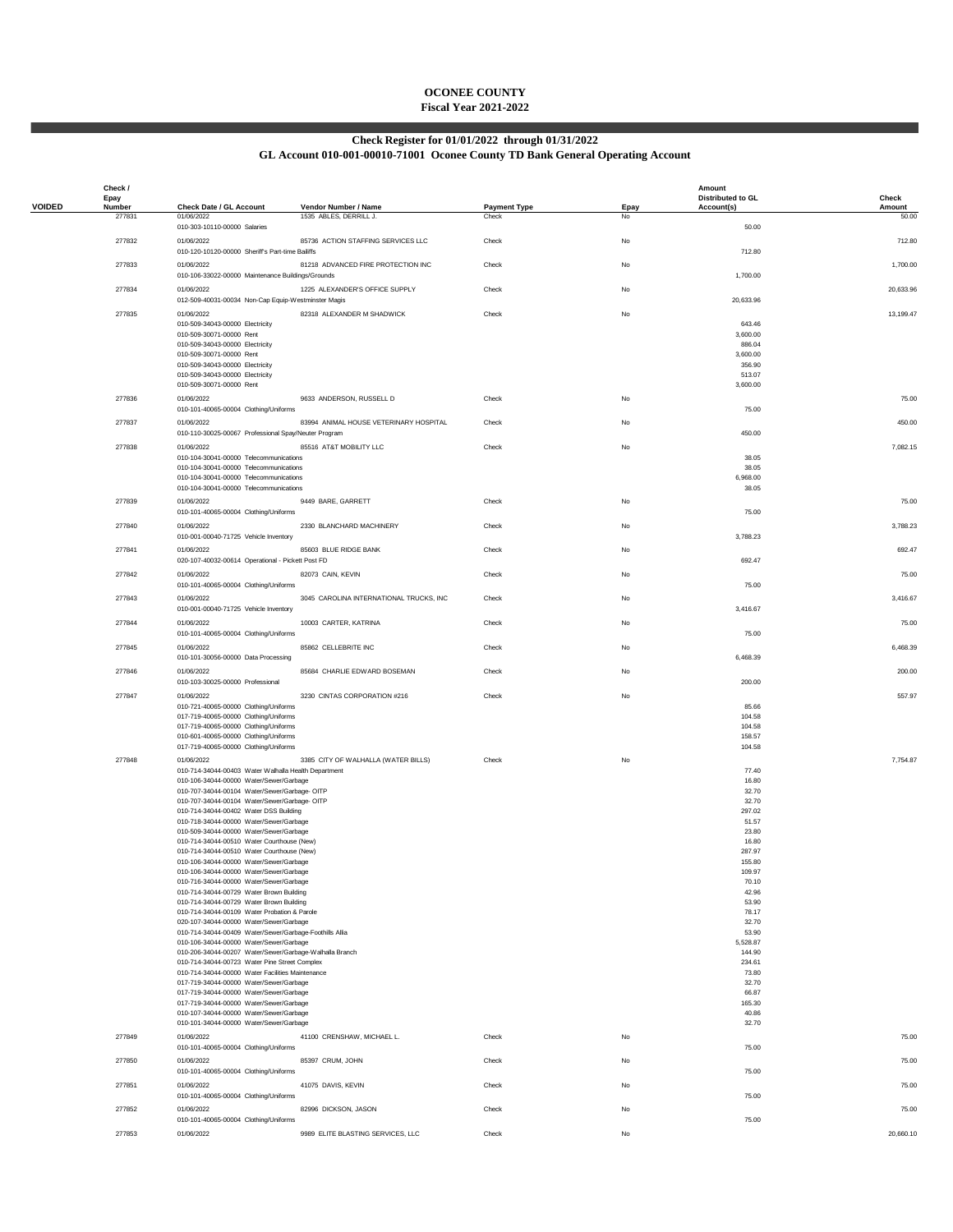## **OCONEE COUNTY Fiscal Year 2021-2022**

## **Check Register for 01/01/2022 through 01/31/2022**

## **GL Account 010-001-00010-71001 Oconee County TD Bank General Operating Account**

|               | Check /<br>Epay |                                                                                                    |                                         |                     |           | Amount<br><b>Distributed to GL</b> | Check     |
|---------------|-----------------|----------------------------------------------------------------------------------------------------|-----------------------------------------|---------------------|-----------|------------------------------------|-----------|
| <b>VOIDED</b> | Number          | Check Date / GL Account                                                                            | Vendor Number / Name                    | <b>Payment Type</b> | Epay      | Account(s)                         | Amount    |
|               | 277831          | 01/06/2022<br>010-303-10110-00000 Salaries                                                         | 1535 ABLES, DERRILL J.                  | Check               | No        | 50.00                              | 50.00     |
|               | 277832          | 01/06/2022                                                                                         | 85736 ACTION STAFFING SERVICES LLC      | Check               | No        |                                    | 712.80    |
|               |                 | 010-120-10120-00000 Sheriff's Part-time Bailiffs                                                   |                                         |                     |           | 712.80                             |           |
|               | 277833          | 01/06/2022<br>010-106-33022-00000 Maintenance Buildings/Grounds                                    | 81218 ADVANCED FIRE PROTECTION INC      | Check               | No        | 1,700.00                           | 1,700.00  |
|               | 277834          | 01/06/2022                                                                                         | 1225 ALEXANDER'S OFFICE SUPPLY          | Check               | No        |                                    | 20,633.96 |
|               |                 | 012-509-40031-00034 Non-Cap Equip-Westminster Magis                                                |                                         |                     |           | 20,633.96                          |           |
|               | 277835          | 01/06/2022                                                                                         | 82318 ALEXANDER M SHADWICK              | Check               | No        |                                    | 13,199.47 |
|               |                 | 010-509-34043-00000 Electricity<br>010-509-30071-00000 Rent                                        |                                         |                     |           | 643.46<br>3,600.00                 |           |
|               |                 | 010-509-34043-00000 Electricity                                                                    |                                         |                     |           | 886.04                             |           |
|               |                 | 010-509-30071-00000 Rent<br>010-509-34043-00000 Electricity                                        |                                         |                     |           | 3,600.00<br>356.90                 |           |
|               |                 | 010-509-34043-00000 Electricity                                                                    |                                         |                     |           | 513.07                             |           |
|               |                 | 010-509-30071-00000 Rent                                                                           |                                         |                     |           | 3,600.00                           |           |
|               | 277836          | 01/06/2022<br>010-101-40065-00004 Clothing/Uniforms                                                | 9633 ANDERSON, RUSSELL D                | Check               | No        | 75.00                              | 75.00     |
|               | 277837          | 01/06/2022                                                                                         | 83994 ANIMAL HOUSE VETERINARY HOSPITAL  | Check               | No        |                                    | 450.00    |
|               |                 | 010-110-30025-00067 Professional Spay/Neuter Program                                               |                                         |                     |           | 450.00                             |           |
|               | 277838          | 01/06/2022                                                                                         | 85516 AT&T MOBILITY LLC                 | Check               | No        |                                    | 7,082.15  |
|               |                 | 010-104-30041-00000 Telecommunications<br>010-104-30041-00000 Telecommunications                   |                                         |                     |           | 38.05<br>38.05                     |           |
|               |                 | 010-104-30041-00000 Telecommunications                                                             |                                         |                     |           | 6,968.00                           |           |
|               |                 | 010-104-30041-00000 Telecommunications                                                             |                                         |                     |           | 38.05                              |           |
|               | 277839          | 01/06/2022<br>010-101-40065-00004 Clothing/Uniforms                                                | 9449 BARE, GARRETT                      | Check               | No        | 75.00                              | 75.00     |
|               | 277840          | 01/06/2022                                                                                         | 2330 BLANCHARD MACHINERY                | Check               | No        |                                    | 3,788.23  |
|               |                 | 010-001-00040-71725 Vehicle Inventory                                                              |                                         |                     |           | 3,788.23                           |           |
|               | 277841          | 01/06/2022                                                                                         | 85603 BLUE RIDGE BANK                   | Check               | No        |                                    | 692.47    |
|               |                 | 020-107-40032-00614 Operational - Pickett Post FD                                                  |                                         |                     |           | 692.47                             |           |
|               | 277842          | 01/06/2022<br>010-101-40065-00004 Clothing/Uniforms                                                | 82073 CAIN, KEVIN                       | Check               | No        | 75.00                              | 75.00     |
|               | 277843          | 01/06/2022                                                                                         | 3045 CAROLINA INTERNATIONAL TRUCKS, INC | Check               | No        |                                    | 3,416.67  |
|               |                 | 010-001-00040-71725 Vehicle Inventory                                                              |                                         |                     |           | 3,416.67                           |           |
|               | 277844          | 01/06/2022                                                                                         | 10003 CARTER, KATRINA                   | Check               | No        |                                    | 75.00     |
|               |                 | 010-101-40065-00004 Clothing/Uniforms                                                              |                                         |                     |           | 75.00                              |           |
|               | 277845          | 01/06/2022<br>010-101-30056-00000 Data Processing                                                  | 85862 CELLEBRITE INC                    | Check               | No        | 6,468.39                           | 6,468.39  |
|               | 277846          | 01/06/2022                                                                                         | 85684 CHARLIE EDWARD BOSEMAN            | Check               | <b>No</b> |                                    | 200.00    |
|               |                 | 010-103-30025-00000 Professional                                                                   |                                         |                     |           | 200.00                             |           |
|               | 277847          | 01/06/2022                                                                                         | 3230 CINTAS CORPORATION #216            | Check               | No        |                                    | 557.97    |
|               |                 | 010-721-40065-00000 Clothing/Uniforms<br>017-719-40065-00000 Clothing/Uniforms                     |                                         |                     |           | 85.66<br>104.58                    |           |
|               |                 | 017-719-40065-00000 Clothing/Uniforms                                                              |                                         |                     |           | 104.58                             |           |
|               |                 | 010-601-40065-00000 Clothing/Uniforms<br>017-719-40065-00000 Clothing/Uniforms                     |                                         |                     |           | 158.57<br>104.58                   |           |
|               | 277848          | 01/06/2022                                                                                         | 3385 CITY OF WALHALLA (WATER BILLS)     | Check               | No        |                                    | 7,754.87  |
|               |                 | 010-714-34044-00403 Water Walhalla Health Department                                               |                                         |                     |           | 77.40                              |           |
|               |                 | 010-106-34044-00000 Water/Sewer/Garbage<br>010-707-34044-00104 Water/Sewer/Garbage- OITP           |                                         |                     |           | 16.80<br>32.70                     |           |
|               |                 | 010-707-34044-00104 Water/Sewer/Garbage- OITP                                                      |                                         |                     |           | 32.70                              |           |
|               |                 | 010-714-34044-00402 Water DSS Building<br>010-718-34044-00000 Water/Sewer/Garbage                  |                                         |                     |           | 297.02<br>51.57                    |           |
|               |                 | 010-509-34044-00000 Water/Sewer/Garbage                                                            |                                         |                     |           | 23.80                              |           |
|               |                 | 010-714-34044-00510 Water Courthouse (New)                                                         |                                         |                     |           | 16.80                              |           |
|               |                 | 010-714-34044-00510 Water Courthouse (New)<br>010-106-34044-00000 Water/Sewer/Garbage              |                                         |                     |           | 287.97<br>155.80                   |           |
|               |                 | 010-106-34044-00000 Water/Sewer/Garbage                                                            |                                         |                     |           | 109.97                             |           |
|               |                 | 010-716-34044-00000 Water/Sewer/Garbage<br>010-714-34044-00729 Water Brown Building                |                                         |                     |           | 70.10<br>42.96                     |           |
|               |                 | 010-714-34044-00729 Water Brown Building                                                           |                                         |                     |           | 53.90                              |           |
|               |                 | 010-714-34044-00109 Water Probation & Parole<br>020-107-34044-00000 Water/Sewer/Garbage            |                                         |                     |           | 78.17<br>32.70                     |           |
|               |                 | 010-714-34044-00409 Water/Sewer/Garbage-Foothills Allia                                            |                                         |                     |           | 53.90                              |           |
|               |                 | 010-106-34044-00000 Water/Sewer/Garbage<br>010-206-34044-00207 Water/Sewer/Garbage-Walhalla Branch |                                         |                     |           | 5,528.87<br>144.90                 |           |
|               |                 | 010-714-34044-00723 Water Pine Street Complex                                                      |                                         |                     |           | 234.61                             |           |
|               |                 | 010-714-34044-00000 Water Facilities Maintenance<br>017-719-34044-00000 Water/Sewer/Garbage        |                                         |                     |           | 73.80<br>32.70                     |           |
|               |                 | 017-719-34044-00000 Water/Sewer/Garbage                                                            |                                         |                     |           | 66.87                              |           |
|               |                 | 017-719-34044-00000 Water/Sewer/Garbage<br>010-107-34044-00000 Water/Sewer/Garbage                 |                                         |                     |           | 165.30                             |           |
|               |                 | 010-101-34044-00000 Water/Sewer/Garbage                                                            |                                         |                     |           | 40.86<br>32.70                     |           |
|               | 277849          | 01/06/2022                                                                                         | 41100 CRENSHAW, MICHAEL L.              | Check               | No        |                                    | 75.00     |
|               |                 | 010-101-40065-00004 Clothing/Uniforms                                                              |                                         |                     |           | 75.00                              |           |
|               | 277850          | 01/06/2022<br>010-101-40065-00004 Clothing/Uniforms                                                | 85397 CRUM, JOHN                        | Check               | <b>No</b> | 75.00                              | 75.00     |
|               | 277851          | 01/06/2022                                                                                         | 41075 DAVIS, KEVIN                      | Check               | No        |                                    | 75.00     |
|               |                 | 010-101-40065-00004 Clothing/Uniforms                                                              |                                         |                     |           | 75.00                              |           |
|               | 277852          | 01/06/2022                                                                                         | 82996 DICKSON, JASON                    | Check               | No        |                                    | 75.00     |
|               |                 | 010-101-40065-00004 Clothing/Uniforms                                                              |                                         |                     |           | 75.00                              |           |
|               | 277853          | 01/06/2022                                                                                         | 9989 ELITE BLASTING SERVICES, LLC       | Check               | <b>No</b> |                                    | 20,660.10 |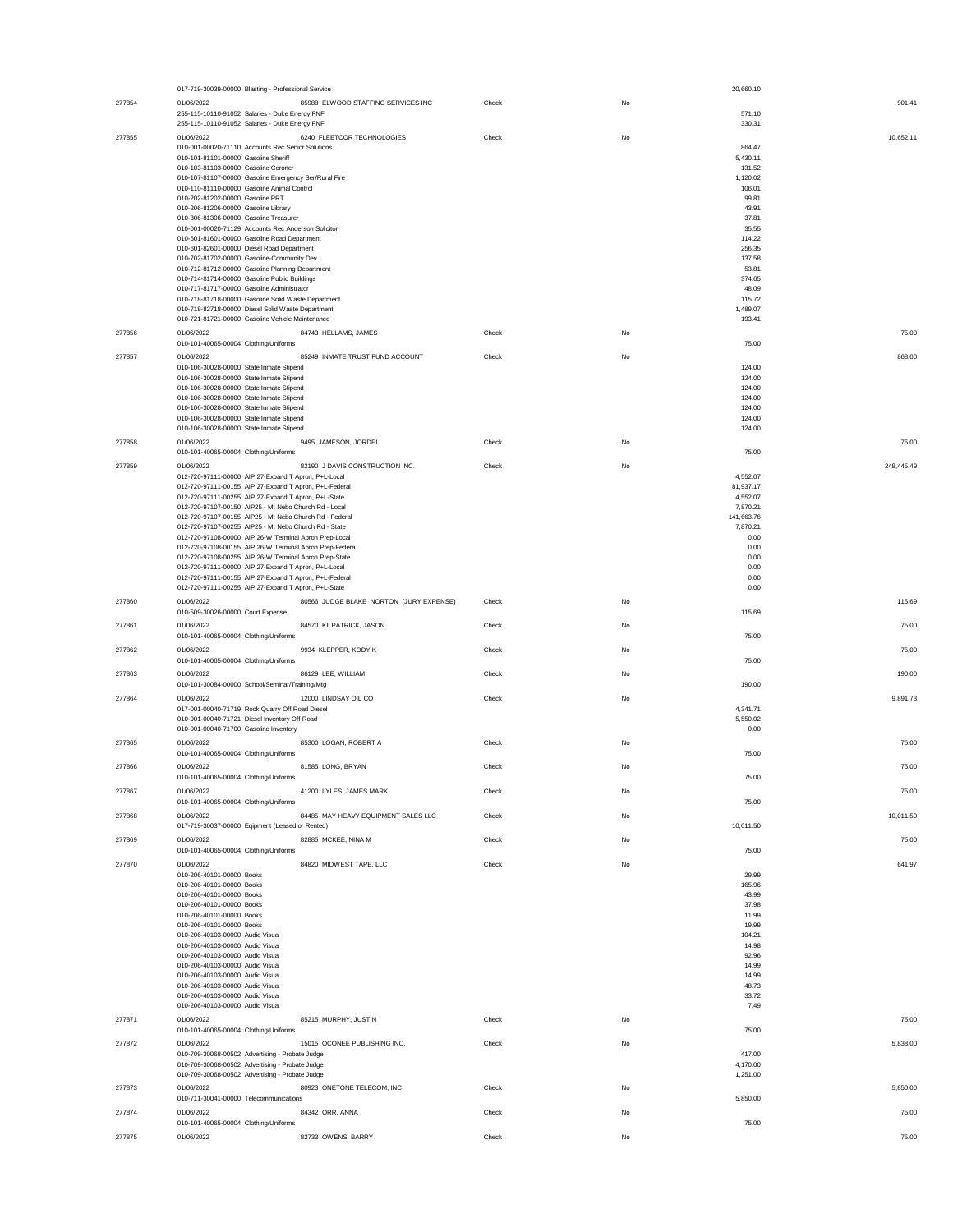|        | 017-719-30039-00000 Blasting - Professional Service                                                   |       |    | 20,660.10          |            |
|--------|-------------------------------------------------------------------------------------------------------|-------|----|--------------------|------------|
| 277854 | 85988 ELWOOD STAFFING SERVICES INC<br>01/06/2022                                                      | Check | No |                    | 901.41     |
|        | 255-115-10110-91052 Salaries - Duke Energy FNF                                                        |       |    | 571.10             |            |
|        | 255-115-10110-91052 Salaries - Duke Energy FNF                                                        |       |    | 330.31             |            |
|        |                                                                                                       |       |    |                    |            |
| 277855 | 01/06/2022<br>6240 FLEETCOR TECHNOLOGIES                                                              | Check | No |                    | 10,652.11  |
|        | 010-001-00020-71110 Accounts Rec Senior Solutions                                                     |       |    | 864.47             |            |
|        | 010-101-81101-00000 Gasoline Sheriff                                                                  |       |    | 5,430.11           |            |
|        | 010-103-81103-00000 Gasoline Coroner                                                                  |       |    | 131.52             |            |
|        | 010-107-81107-00000 Gasoline Emergency Ser/Rural Fire                                                 |       |    | 1,120.02           |            |
|        | 010-110-81110-00000 Gasoline Animal Control                                                           |       |    | 106.01             |            |
|        | 010-202-81202-00000 Gasoline PRT                                                                      |       |    | 99.81              |            |
|        | 010-206-81206-00000 Gasoline Library                                                                  |       |    | 43.91              |            |
|        | 010-306-81306-00000 Gasoline Treasurer                                                                |       |    | 37.81              |            |
|        | 010-001-00020-71129 Accounts Rec Anderson Solicitor                                                   |       |    | 35.55              |            |
|        | 010-601-81601-00000 Gasoline Road Department                                                          |       |    | 114.22             |            |
|        | 010-601-82601-00000 Diesel Road Department                                                            |       |    | 256.35             |            |
|        | 010-702-81702-00000 Gasoline-Community Dev.                                                           |       |    | 137.58             |            |
|        | 010-712-81712-00000 Gasoline Planning Department                                                      |       |    | 53.81              |            |
|        | 010-714-81714-00000 Gasoline Public Buildings                                                         |       |    | 374.65             |            |
|        | 010-717-81717-00000 Gasoline Administrator                                                            |       |    | 48.09              |            |
|        | 010-718-81718-00000 Gasoline Solid Waste Department                                                   |       |    | 115.72             |            |
|        | 010-718-82718-00000 Diesel Solid Waste Department<br>010-721-81721-00000 Gasoline Vehicle Maintenance |       |    | 1,489.07<br>193.41 |            |
|        |                                                                                                       |       |    |                    |            |
| 277856 | 01/06/2022<br>84743 HELLAMS, JAMES                                                                    | Check | No |                    | 75.00      |
|        | 010-101-40065-00004 Clothing/Uniforms                                                                 |       |    | 75.00              |            |
| 277857 | 01/06/2022<br>85249 INMATE TRUST FUND ACCOUNT                                                         | Check | No |                    | 868.00     |
|        | 010-106-30028-00000 State Inmate Stipend                                                              |       |    | 124.00             |            |
|        | 010-106-30028-00000 State Inmate Stipend                                                              |       |    | 124.00             |            |
|        | 010-106-30028-00000 State Inmate Stipend                                                              |       |    | 124.00             |            |
|        | 010-106-30028-00000 State Inmate Stipend                                                              |       |    | 124.00             |            |
|        | 010-106-30028-00000 State Inmate Stipend                                                              |       |    | 124.00             |            |
|        | 010-106-30028-00000 State Inmate Stipend                                                              |       |    | 124.00             |            |
|        | 010-106-30028-00000 State Inmate Stipend                                                              |       |    | 124.00             |            |
|        |                                                                                                       |       |    |                    |            |
| 277858 | 01/06/2022<br>9495 JAMESON, JORDEI                                                                    | Check | No |                    | 75.00      |
|        | 010-101-40065-00004 Clothing/Uniforms                                                                 |       |    | 75.00              |            |
| 277859 | 01/06/2022<br>82190 J DAVIS CONSTRUCTION INC.                                                         | Check | No |                    | 248,445.49 |
|        | 012-720-97111-00000 AIP 27-Expand T Apron, P+L-Local                                                  |       |    | 4,552.07           |            |
|        | 012-720-97111-00155 AIP 27-Expand T Apron, P+L-Federal                                                |       |    | 81,937.17          |            |
|        | 012-720-97111-00255 AIP 27-Expand T Apron, P+L-State                                                  |       |    | 4,552.07           |            |
|        | 012-720-97107-00150 AIP25 - Mt Nebo Church Rd - Local                                                 |       |    | 7,870.21           |            |
|        | 012-720-97107-00155 AIP25 - Mt Nebo Church Rd - Federal                                               |       |    | 141.663.76         |            |
|        | 012-720-97107-00255 AIP25 - Mt Nebo Church Rd - State                                                 |       |    | 7,870.21           |            |
|        | 012-720-97108-00000 AIP 26-W Terminal Apron Prep-Local                                                |       |    | 0.00               |            |
|        | 012-720-97108-00155 AIP 26-W Terminal Apron Prep-Federa                                               |       |    | 0.00               |            |
|        | 012-720-97108-00255 AIP 26-W Terminal Apron Prep-State                                                |       |    | 0.00               |            |
|        | 012-720-97111-00000 AIP 27-Expand T Apron, P+L-Local                                                  |       |    | 0.00               |            |
|        | 012-720-97111-00155 AIP 27-Expand T Apron, P+L-Federal                                                |       |    | 0.00               |            |
|        | 012-720-97111-00255 AIP 27-Expand T Apron, P+L-State                                                  |       |    | 0.00               |            |
| 277860 | 80566 JUDGE BLAKE NORTON (JURY EXPENSE)<br>01/06/2022                                                 | Check | No |                    | 115.69     |
|        | 010-509-30026-00000 Court Expense                                                                     |       |    | 115.69             |            |
|        |                                                                                                       |       |    |                    |            |
| 277861 | 01/06/2022<br>84570 KILPATRICK, JASON                                                                 | Check | No |                    | 75.00      |
|        | 010-101-40065-00004 Clothing/Uniforms                                                                 |       |    | 75.00              |            |
| 277862 | 01/06/2022<br>9934 KLEPPER, KODY K                                                                    | Check | No |                    | 75.00      |
|        | 010-101-40065-00004 Clothing/Uniforms                                                                 |       |    | 75.00              |            |
|        |                                                                                                       |       |    |                    |            |
| 277863 | 01/06/2022<br>86129 LEE, WILLIAM                                                                      | Check | No |                    | 190.00     |
|        | 010-101-30084-00000 School/Seminar/Training/Mtg                                                       |       |    | 190.00             |            |
| 277864 | 01/06/2022<br>12000 LINDSAY OIL CO                                                                    | Check | No |                    | 9.891.73   |
|        | 017-001-00040-71719 Rock Quarry Off Road Diesel                                                       |       |    | 4,341.71           |            |
|        | 010-001-00040-71721 Diesel Inventory Off Road                                                         |       |    | 5,550.02           |            |
|        | 010-001-00040-71700 Gasoline Inventory                                                                |       |    | 0.00               |            |
|        |                                                                                                       |       |    |                    |            |
| 277865 | 01/06/2022<br>85300 LOGAN, ROBERT A                                                                   | Check | No |                    | 75.00      |
|        | 010-101-40065-00004 Clothing/Uniforms                                                                 |       |    | 75.00              |            |
| 277866 | 01/06/2022<br>81585 LONG, BRYAN                                                                       | Check | No |                    | 75.00      |
|        | 010-101-40065-00004 Clothing/Uniforms                                                                 |       |    | 75.00              |            |
|        | 41200 LYLES, JAMES MARK                                                                               |       |    |                    |            |
| 277867 | 01/06/2022<br>010-101-40065-00004 Clothing/Uniforms                                                   | Check | No | 75.00              | 75.00      |
|        |                                                                                                       |       |    |                    |            |
| 277868 | 01/06/2022<br>84485 MAY HEAVY EQUIPMENT SALES LLC                                                     | Check | No |                    | 10,011.50  |
|        | 017-719-30037-00000 Eqipment (Leased or Rented)                                                       |       |    | 10,011.50          |            |
| 277869 | 01/06/2022<br>82885 MCKEE, NINA M                                                                     | Check | No |                    | 75.00      |
|        | 010-101-40065-00004 Clothing/Uniforms                                                                 |       |    | 75.00              |            |
|        | 84820 MIDWEST TAPE, LLC                                                                               |       |    |                    |            |
| 277870 | 01/06/2022<br>010-206-40101-00000 Books                                                               | Check | No | 29.99              | 641.97     |
|        |                                                                                                       |       |    |                    |            |
|        | 010-206-40101-00000 Books<br>010-206-40101-00000 Books                                                |       |    | 165.96<br>43.99    |            |
|        |                                                                                                       |       |    |                    |            |
|        | 010-206-40101-00000 Books<br>010-206-40101-00000 Books                                                |       |    | 37.98<br>11.99     |            |
|        | 010-206-40101-00000 Books                                                                             |       |    | 19.99              |            |
|        |                                                                                                       |       |    |                    |            |
|        | 010-206-40103-00000 Audio Visual<br>010-206-40103-00000 Audio Visual                                  |       |    | 104.21<br>14.98    |            |
|        | 010-206-40103-00000 Audio Visual                                                                      |       |    | 92.96              |            |
|        | 010-206-40103-00000 Audio Visual                                                                      |       |    | 14.99              |            |
|        | 010-206-40103-00000 Audio Visual                                                                      |       |    | 14.99              |            |
|        | 010-206-40103-00000 Audio Visual                                                                      |       |    | 48.73              |            |
|        | 010-206-40103-00000 Audio Visual                                                                      |       |    | 33.72              |            |
|        | 010-206-40103-00000 Audio Visual                                                                      |       |    | 7.49               |            |
|        |                                                                                                       |       |    |                    |            |
| 277871 | 01/06/2022<br>85215 MURPHY, JUSTIN                                                                    | Check | No |                    | 75.00      |
|        | 010-101-40065-00004 Clothing/Uniforms                                                                 |       |    | 75.00              |            |
| 277872 | 01/06/2022<br>15015 OCONEE PUBLISHING INC.                                                            | Check | No |                    | 5,838.00   |
|        | 010-709-30068-00502 Advertising - Probate Judge                                                       |       |    | 417.00             |            |
|        | 010-709-30068-00502 Advertising - Probate Judge                                                       |       |    | 4,170.00           |            |
|        | 010-709-30068-00502 Advertising - Probate Judge                                                       |       |    | 1,251.00           |            |
| 277873 | 01/06/2022<br>80923 ONETONE TELECOM, INC                                                              | Check | No |                    | 5,850.00   |
|        | 010-711-30041-00000 Telecommunications                                                                |       |    | 5,850.00           |            |
|        |                                                                                                       |       |    |                    |            |
| 277874 |                                                                                                       |       |    |                    |            |
|        | 01/06/2022<br>84342 ORR, ANNA                                                                         | Check | No |                    | 75.00      |
|        | 010-101-40065-00004 Clothing/Uniforms                                                                 |       |    | 75.00              |            |
| 277875 | 01/06/2022<br>82733 OWENS, BARRY                                                                      | Check | No |                    | 75.00      |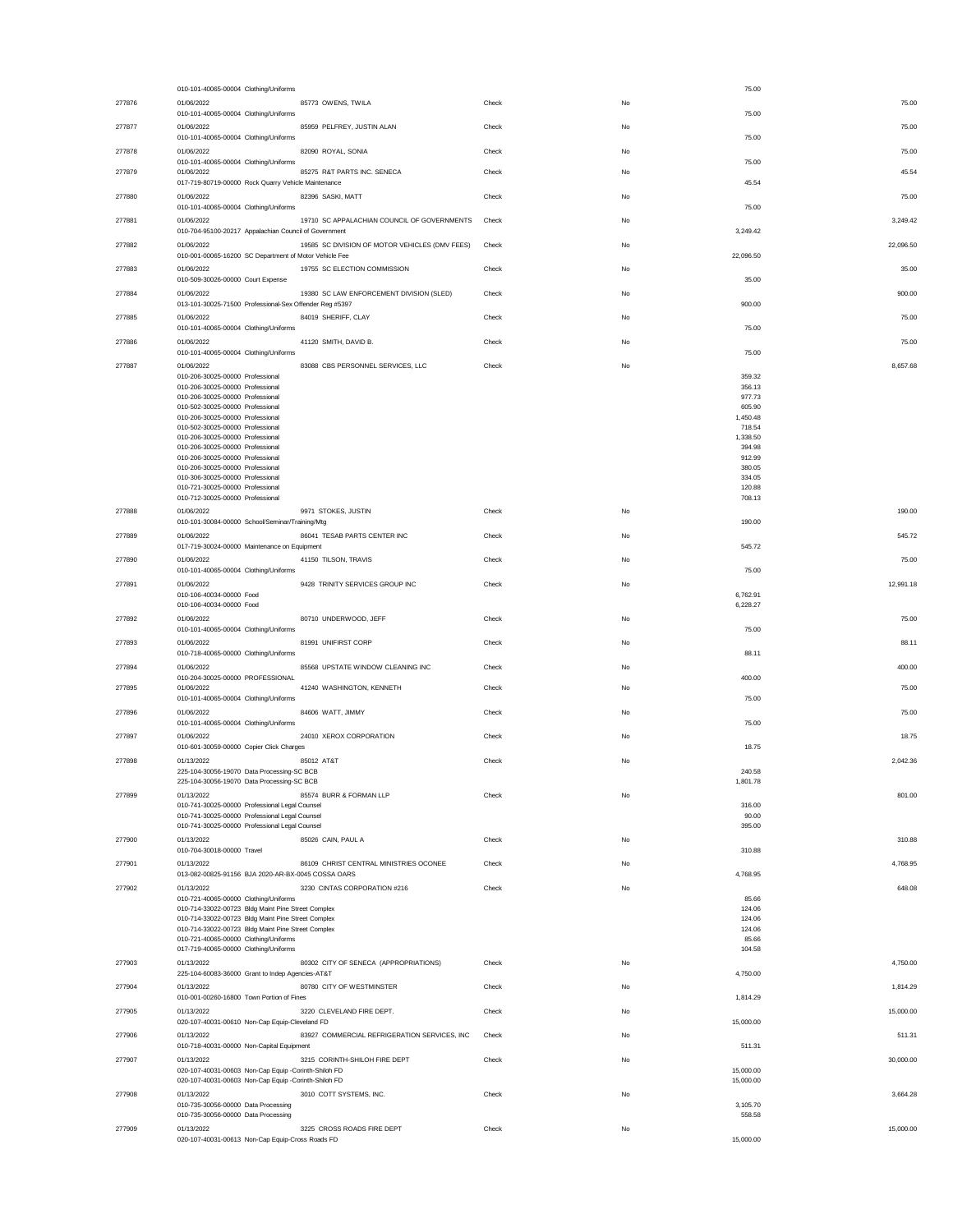|        | 010-101-40065-00004 Clothing/Uniforms                                                                                  |       |    | 75.00                  |
|--------|------------------------------------------------------------------------------------------------------------------------|-------|----|------------------------|
| 277876 | 01/06/2022<br>85773 OWENS, TWILA                                                                                       | Check | No | 75.00                  |
|        | 010-101-40065-00004 Clothing/Uniforms                                                                                  |       |    | 75.00                  |
| 277877 | 01/06/2022<br>85959 PELFREY, JUSTIN ALAN                                                                               | Check | No | 75.00                  |
|        | 010-101-40065-00004 Clothing/Uniforms                                                                                  |       |    | 75.00                  |
| 277878 | 01/06/2022<br>82090 ROYAL, SONIA<br>010-101-40065-00004 Clothing/Uniforms                                              | Check | No | 75.00<br>75.00         |
| 277879 | 85275 R&T PARTS INC. SENECA<br>01/06/2022                                                                              | Check | No | 45.54                  |
|        | 017-719-80719-00000 Rock Quarry Vehicle Maintenance                                                                    |       |    | 45.54                  |
| 277880 | 01/06/2022<br>82396 SASKI, MATT                                                                                        | Check | No | 75.00                  |
|        | 010-101-40065-00004 Clothing/Uniforms                                                                                  |       |    | 75.00                  |
| 277881 | 01/06/2022<br>19710 SC APPALACHIAN COUNCIL OF GOVERNMENTS                                                              | Check | No | 3,249.42               |
|        | 010-704-95100-20217 Appalachian Council of Government                                                                  |       |    | 3,249.42               |
| 277882 | 19585 SC DIVISION OF MOTOR VEHICLES (DMV FEES)<br>01/06/2022<br>010-001-00065-16200 SC Department of Motor Vehicle Fee | Check | No | 22,096.50<br>22,096.50 |
| 277883 | 19755 SC ELECTION COMMISSION<br>01/06/2022                                                                             | Check | No | 35.00                  |
|        | 010-509-30026-00000 Court Expense                                                                                      |       |    | 35.00                  |
| 277884 | 19380 SC LAW ENFORCEMENT DIVISION (SLED)<br>01/06/2022                                                                 | Check | No | 900.00                 |
|        | 013-101-30025-71500 Professional-Sex Offender Reg #5397                                                                |       |    | 900.00                 |
| 277885 | 01/06/2022<br>84019 SHERIFF, CLAY                                                                                      | Check | No | 75.00                  |
|        | 010-101-40065-00004 Clothing/Uniforms                                                                                  |       |    | 75.00                  |
| 277886 | 01/06/2022<br>41120 SMITH, DAVID B.                                                                                    | Check | No | 75.00                  |
|        | 010-101-40065-00004 Clothing/Uniforms                                                                                  |       |    | 75.00                  |
| 277887 | 01/06/2022<br>83088 CBS PERSONNEL SERVICES, LLC<br>010-206-30025-00000 Professional                                    | Check | No | 8,657.68<br>359.32     |
|        | 010-206-30025-00000 Professional                                                                                       |       |    | 356.13                 |
|        | 010-206-30025-00000 Professional                                                                                       |       |    | 977.73                 |
|        | 010-502-30025-00000 Professional<br>010-206-30025-00000 Professional                                                   |       |    | 605.90                 |
|        | 010-502-30025-00000 Professional                                                                                       |       |    | 1,450.48<br>718.54     |
|        | 010-206-30025-00000 Professional                                                                                       |       |    | 1,338.50               |
|        | 010-206-30025-00000 Professional                                                                                       |       |    | 394.98                 |
|        | 010-206-30025-00000 Professional<br>010-206-30025-00000 Professional                                                   |       |    | 912.99<br>380.05       |
|        | 010-306-30025-00000 Professional                                                                                       |       |    | 334.05                 |
|        | 010-721-30025-00000 Professional                                                                                       |       |    | 120.88                 |
|        | 010-712-30025-00000 Professional                                                                                       |       |    | 708.13                 |
| 277888 | 01/06/2022<br>9971 STOKES, JUSTIN                                                                                      | Check | No | 190.00                 |
|        | 010-101-30084-00000 School/Seminar/Training/Mtg                                                                        |       |    | 190.00                 |
| 277889 | 86041 TESAB PARTS CENTER INC<br>01/06/2022<br>017-719-30024-00000 Maintenance on Equipment                             | Check | No | 545.72<br>545.72       |
| 277890 | 01/06/2022<br>41150 TILSON, TRAVIS                                                                                     | Check | No | 75.00                  |
|        | 010-101-40065-00004 Clothing/Uniforms                                                                                  |       |    | 75.00                  |
| 277891 | 01/06/2022<br>9428 TRINITY SERVICES GROUP INC                                                                          | Check | No | 12.991.18              |
|        | 010-106-40034-00000 Food                                                                                               |       |    | 6,762.91               |
|        | 010-106-40034-00000 Food                                                                                               |       |    | 6,228.27               |
| 277892 | 01/06/2022<br>80710 UNDERWOOD, JEFF                                                                                    | Check | No | 75.00                  |
|        | 010-101-40065-00004 Clothing/Uniforms                                                                                  |       |    | 75.00                  |
|        |                                                                                                                        |       |    |                        |
| 277893 | 81991 UNIFIRST CORP<br>01/06/2022                                                                                      | Check | No | 88.11                  |
|        | 010-718-40065-00000 Clothing/Uniforms                                                                                  |       |    | 88.11                  |
| 277894 | 01/06/2022<br>85568 UPSTATE WINDOW CLEANING INC<br>010-204-30025-00000 PROFESSIONAL                                    | Check | No | 400.00<br>400.00       |
| 277895 | 01/06/2022<br>41240 WASHINGTON, KENNETH                                                                                | Check | No | 75.00                  |
|        | 010-101-40065-00004 Clothing/Uniforms                                                                                  |       |    | 75.00                  |
| 277896 | 01/06/2022<br>84606 WATT, JIMMY                                                                                        | Check | No | 75.00                  |
|        | 010-101-40065-00004 Clothing/Uniforms                                                                                  |       |    | 75.00                  |
| 277897 | 01/06/2022<br>24010 XEROX CORPORATION                                                                                  | Check | No | 18.75                  |
|        | 010-601-30059-00000 Copier Click Charges                                                                               |       |    | 18.75                  |
| 277898 | 01/13/2022<br>85012 AT&T                                                                                               | Check | No | 2,042.36<br>240.58     |
|        | 225-104-30056-19070 Data Processing-SC BCB<br>225-104-30056-19070 Data Processing-SC BCB                               |       |    | 1.801.78               |
| 277899 | 01/13/2022<br>85574 BURR & FORMAN LLP                                                                                  | Check | No | 801.00                 |
|        | 010-741-30025-00000 Professional Legal Counsel                                                                         |       |    | 316.00                 |
|        | 010-741-30025-00000 Professional Legal Counsel                                                                         |       |    | 90.00                  |
|        | 010-741-30025-00000 Professional Legal Counsel<br>01/13/2022                                                           |       |    | 395.00                 |
| 277900 | 85026 CAIN, PAUL A<br>010-704-30018-00000 Travel                                                                       | Check | No | 310.88<br>310.88       |
| 277901 | 01/13/2022<br>86109 CHRIST CENTRAL MINISTRIES OCONEE                                                                   | Check | No | 4,768.95               |
|        | 013-082-00825-91156 BJA 2020-AR-BX-0045 COSSA OARS                                                                     |       |    | 4,768.95               |
| 277902 | 3230 CINTAS CORPORATION #216<br>01/13/2022                                                                             | Check | No | 648.08                 |
|        | 010-721-40065-00000 Clothing/Uniforms                                                                                  |       |    | 85.66                  |
|        | 010-714-33022-00723 Bldg Maint Pine Street Complex<br>010-714-33022-00723 Bldg Maint Pine Street Complex               |       |    | 124.06<br>124.06       |
|        | 010-714-33022-00723 Bldg Maint Pine Street Complex                                                                     |       |    | 124.06                 |
|        | 010-721-40065-00000 Clothing/Uniforms                                                                                  |       |    | 85.66                  |
|        | 017-719-40065-00000 Clothing/Uniforms                                                                                  |       |    | 104.58                 |
| 277903 | 01/13/2022<br>80302 CITY OF SENECA (APPROPRIATIONS)<br>225-104-60083-36000 Grant to Indep Agencies-AT&T                | Check | No | 4,750.00<br>4,750.00   |
| 277904 | 01/13/2022<br>80780 CITY OF WESTMINSTER                                                                                | Check | No | 1,814.29               |
|        | 010-001-00260-16800 Town Portion of Fines                                                                              |       |    | 1,814.29               |
| 277905 | 01/13/2022<br>3220 CLEVELAND FIRE DEPT.                                                                                | Check | No | 15,000.00              |
|        | 020-107-40031-00610 Non-Cap Equip-Cleveland FD                                                                         |       |    | 15,000.00              |
| 277906 | 01/13/2022<br>83927 COMMERCIAL REFRIGERATION SERVICES, INC                                                             | Check | No | 511.31                 |
|        | 010-718-40031-00000 Non-Capital Equipment                                                                              |       |    | 511.31                 |
| 277907 | 01/13/2022<br>3215 CORINTH-SHILOH FIRE DEPT                                                                            | Check | No | 30,000.00              |
|        | 020-107-40031-00603 Non-Cap Equip -Corinth-Shiloh FD<br>020-107-40031-00603 Non-Cap Equip -Corinth-Shiloh FD           |       |    | 15,000.00<br>15,000.00 |
| 277908 | 3010 COTT SYSTEMS, INC.<br>01/13/2022                                                                                  | Check | No | 3,664.28               |
|        | 010-735-30056-00000 Data Processing                                                                                    |       |    | 3,105.70               |
|        | 010-735-30056-00000 Data Processing                                                                                    |       |    | 558.58                 |
| 277909 | 01/13/2022<br>3225 CROSS ROADS FIRE DEPT<br>020-107-40031-00613 Non-Cap Equip-Cross Roads FD                           | Check | No | 15,000.00<br>15,000.00 |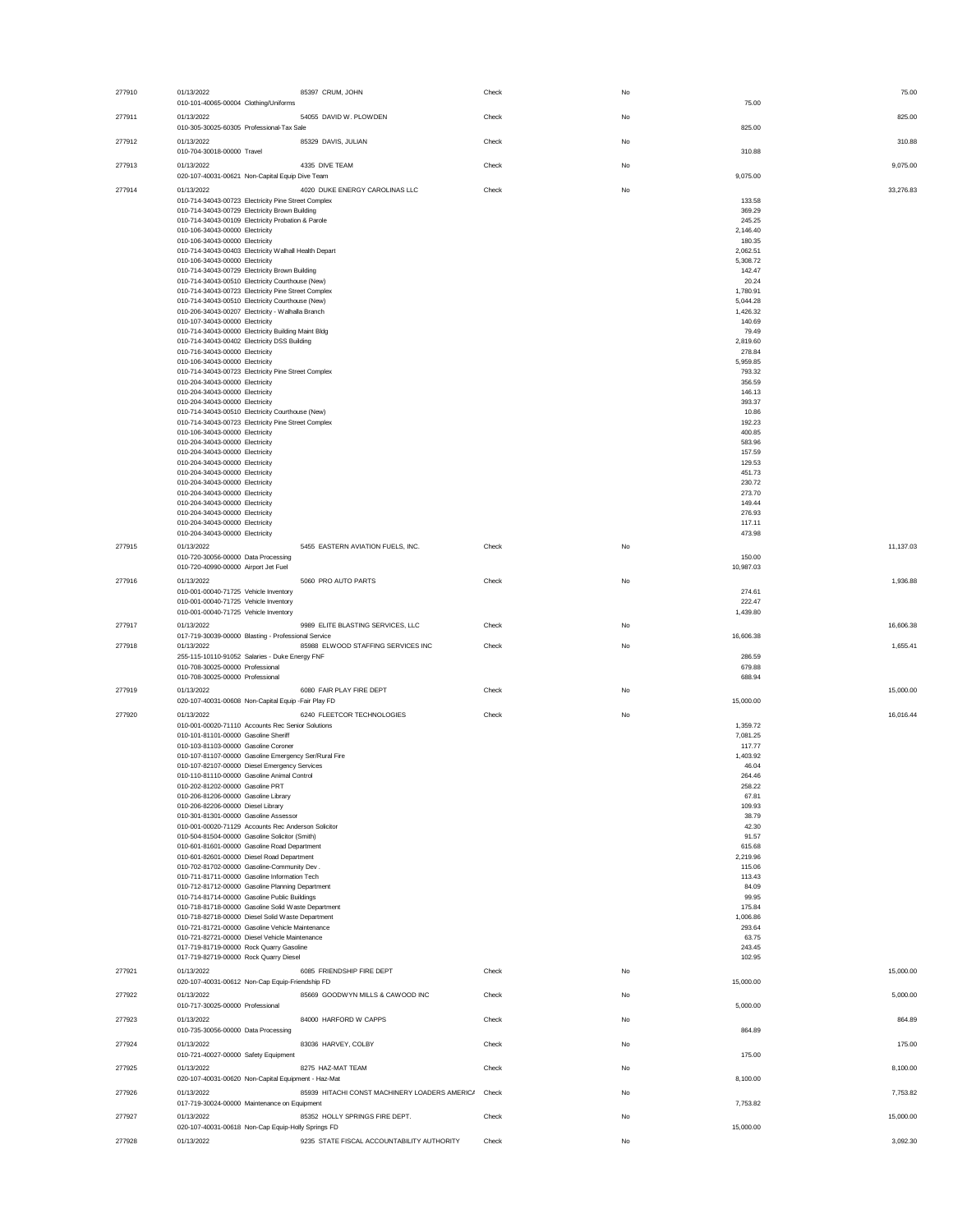| 277910 | 01/13/2022<br>85397 CRUM, JOHN<br>010-101-40065-00004 Clothing/Uniforms                                        | Check | No | 75.00              | 75.00     |
|--------|----------------------------------------------------------------------------------------------------------------|-------|----|--------------------|-----------|
| 277911 | 01/13/2022<br>54055 DAVID W. PLOWDEN                                                                           | Check | No |                    | 825.00    |
| 277912 | 010-305-30025-60305 Professional-Tax Sale<br>01/13/2022<br>85329 DAVIS, JULIAN                                 | Check | No | 825.00             | 310.88    |
| 277913 | 010-704-30018-00000 Travel<br>01/13/2022<br>4335 DIVE TEAM                                                     | Check | No | 310.88             | 9,075.00  |
|        | 020-107-40031-00621 Non-Capital Equip Dive Team                                                                |       |    | 9,075.00           |           |
| 277914 | 4020 DUKE ENERGY CAROLINAS LLC<br>01/13/2022<br>010-714-34043-00723 Electricity Pine Street Complex            | Check | No | 133.58             | 33,276.83 |
|        | 010-714-34043-00729 Electricity Brown Building                                                                 |       |    | 369.29             |           |
|        | 010-714-34043-00109 Electricity Probation & Parole                                                             |       |    | 245.25             |           |
|        | 010-106-34043-00000 Electricity<br>010-106-34043-00000 Electricity                                             |       |    | 2,146.40<br>180.35 |           |
|        | 010-714-34043-00403 Electricity Walhall Health Depart                                                          |       |    | 2,062.51           |           |
|        | 010-106-34043-00000 Electricity                                                                                |       |    | 5,308.72           |           |
|        | 010-714-34043-00729 Electricity Brown Building<br>010-714-34043-00510 Electricity Courthouse (New)             |       |    | 142.47<br>20.24    |           |
|        | 010-714-34043-00723 Electricity Pine Street Complex                                                            |       |    | 1,780.91           |           |
|        | 010-714-34043-00510 Electricity Courthouse (New)                                                               |       |    | 5,044.28           |           |
|        | 010-206-34043-00207 Electricity - Walhalla Branch                                                              |       |    | 1,426.32<br>140.69 |           |
|        | 010-107-34043-00000 Electricity<br>010-714-34043-00000 Electricity Building Maint Bldg                         |       |    | 79.49              |           |
|        | 010-714-34043-00402 Electricity DSS Building                                                                   |       |    | 2,819.60           |           |
|        | 010-716-34043-00000 Electricity<br>010-106-34043-00000 Electricity                                             |       |    | 278.84<br>5,959.85 |           |
|        | 010-714-34043-00723 Electricity Pine Street Complex                                                            |       |    | 793.32             |           |
|        | 010-204-34043-00000 Electricity                                                                                |       |    | 356.59             |           |
|        | 010-204-34043-00000 Electricity                                                                                |       |    | 146.13             |           |
|        | 010-204-34043-00000 Electricity<br>010-714-34043-00510 Electricity Courthouse (New)                            |       |    | 393.37<br>10.86    |           |
|        | 010-714-34043-00723 Electricity Pine Street Complex                                                            |       |    | 192.23             |           |
|        | 010-106-34043-00000 Electricity                                                                                |       |    | 400.85             |           |
|        | 010-204-34043-00000 Electricity<br>010-204-34043-00000 Electricity                                             |       |    | 583.96<br>157.59   |           |
|        | 010-204-34043-00000 Electricity                                                                                |       |    | 129.53             |           |
|        | 010-204-34043-00000 Electricity                                                                                |       |    | 451.73             |           |
|        | 010-204-34043-00000 Electricity<br>010-204-34043-00000 Electricity                                             |       |    | 230.72<br>273.70   |           |
|        | 010-204-34043-00000 Electricity                                                                                |       |    | 149.44             |           |
|        | 010-204-34043-00000 Electricity                                                                                |       |    | 276.93             |           |
|        | 010-204-34043-00000 Electricity<br>010-204-34043-00000 Electricity                                             |       |    | 117.11<br>473.98   |           |
| 277915 | 5455 EASTERN AVIATION FUELS, INC.<br>01/13/2022                                                                | Check | No |                    | 11,137.03 |
|        | 010-720-30056-00000 Data Processing                                                                            |       |    | 150.00             |           |
|        | 010-720-40990-00000 Airport Jet Fuel                                                                           |       |    | 10,987.03          |           |
| 277916 | 01/13/2022<br>5060 PRO AUTO PARTS                                                                              | Check | No |                    | 1,936.88  |
|        | 010-001-00040-71725 Vehicle Inventory<br>010-001-00040-71725 Vehicle Inventory                                 |       |    | 274.61<br>222.47   |           |
|        | 010-001-00040-71725 Vehicle Inventory                                                                          |       |    | 1,439.80           |           |
|        |                                                                                                                |       |    |                    |           |
| 277917 | 01/13/2022<br>9989 ELITE BLASTING SERVICES, LLC                                                                | Check | No |                    | 16,606.38 |
|        | 017-719-30039-00000 Blasting - Professional Service                                                            |       |    | 16,606.38          |           |
| 277918 | 01/13/2022<br>85988 ELWOOD STAFFING SERVICES INC                                                               | Check | No |                    | 1,655.41  |
|        | 255-115-10110-91052 Salaries - Duke Energy FNF                                                                 |       |    | 286.59             |           |
|        | 010-708-30025-00000 Professional<br>010-708-30025-00000 Professional                                           |       |    | 679.88<br>688.94   |           |
| 277919 | 01/13/2022<br>6080 FAIR PLAY FIRE DEPT                                                                         | Check | No |                    | 15,000.00 |
|        | 020-107-40031-00608 Non-Capital Equip -Fair Play FD                                                            |       |    | 15,000.00          |           |
| 277920 | 01/13/2022<br>6240 FLEETCOR TECHNOLOGIES                                                                       | Check | No |                    | 16,016.44 |
|        | 010-001-00020-71110 Accounts Rec Senior Solutions                                                              |       |    | 1,359.72           |           |
|        | 010-101-81101-00000 Gasoline Sheriff<br>010-103-81103-00000 Gasoline Coroner                                   |       |    | 7,081.25<br>117.77 |           |
|        | 010-107-81107-00000 Gasoline Emergency Ser/Rural Fire                                                          |       |    | 1,403.92           |           |
|        | 010-107-82107-00000 Diesel Emergency Services                                                                  |       |    | 46.04              |           |
|        | 010-110-81110-00000 Gasoline Animal Control<br>010-202-81202-00000 Gasoline PRT                                |       |    | 264.46<br>258.22   |           |
|        | 010-206-81206-00000 Gasoline Library                                                                           |       |    | 67.81              |           |
|        | 010-206-82206-00000 Diesel Library<br>010-301-81301-00000 Gasoline Assessor                                    |       |    | 109.93             |           |
|        | 010-001-00020-71129 Accounts Rec Anderson Solicitor                                                            |       |    | 38.79<br>42.30     |           |
|        | 010-504-81504-00000 Gasoline Solicitor (Smith)                                                                 |       |    | 91.57              |           |
|        | 010-601-81601-00000 Gasoline Road Department                                                                   |       |    | 615.68             |           |
|        | 010-601-82601-00000 Diesel Road Department<br>010-702-81702-00000 Gasoline-Community Dev.                      |       |    | 2,219.96<br>115.06 |           |
|        | 010-711-81711-00000 Gasoline Information Tech                                                                  |       |    | 113.43             |           |
|        | 010-712-81712-00000 Gasoline Planning Department                                                               |       |    | 84.09              |           |
|        | 010-714-81714-00000 Gasoline Public Buildings<br>010-718-81718-00000 Gasoline Solid Waste Department           |       |    | 99.95<br>175.84    |           |
|        | 010-718-82718-00000 Diesel Solid Waste Department                                                              |       |    | 1,006.86           |           |
|        | 010-721-81721-00000 Gasoline Vehicle Maintenance<br>010-721-82721-00000 Diesel Vehicle Maintenance             |       |    | 293.64             |           |
|        | 017-719-81719-00000 Rock Quarry Gasoline                                                                       |       |    | 63.75<br>243.45    |           |
|        | 017-719-82719-00000 Rock Quarry Diesel                                                                         |       |    | 102.95             |           |
| 277921 | 6085 FRIENDSHIP FIRE DEPT<br>01/13/2022                                                                        | Check | No |                    | 15,000.00 |
|        | 020-107-40031-00612 Non-Cap Equip-Friendship FD                                                                |       |    | 15,000.00          |           |
| 277922 | 01/13/2022<br>85669 GOODWYN MILLS & CAWOOD INC<br>010-717-30025-00000 Professional                             | Check | No | 5,000.00           | 5,000.00  |
| 277923 | 01/13/2022<br>84000 HARFORD W CAPPS                                                                            | Check | No |                    | 864.89    |
|        | 010-735-30056-00000 Data Processing                                                                            |       |    | 864.89             |           |
| 277924 | 01/13/2022<br>83036 HARVEY, COLBY                                                                              | Check | No |                    | 175.00    |
|        | 010-721-40027-00000 Safety Equipment                                                                           |       |    | 175.00             |           |
| 277925 | 01/13/2022<br>8275 HAZ-MAT TEAM                                                                                | Check | No |                    | 8,100.00  |
|        | 020-107-40031-00620 Non-Capital Equipment - Haz-Mat                                                            |       |    | 8,100.00           |           |
| 277926 | 85939 HITACHI CONST MACHINERY LOADERS AMERICA<br>01/13/2022<br>017-719-30024-00000 Maintenance on Equipment    | Check | No | 7,753.82           | 7,753.82  |
| 277927 | 01/13/2022<br>85352 HOLLY SPRINGS FIRE DEPT.                                                                   | Check | No |                    | 15,000.00 |
| 277928 | 020-107-40031-00618 Non-Cap Equip-Holly Springs FD<br>01/13/2022<br>9235 STATE FISCAL ACCOUNTABILITY AUTHORITY | Check | No | 15,000.00          | 3,092.30  |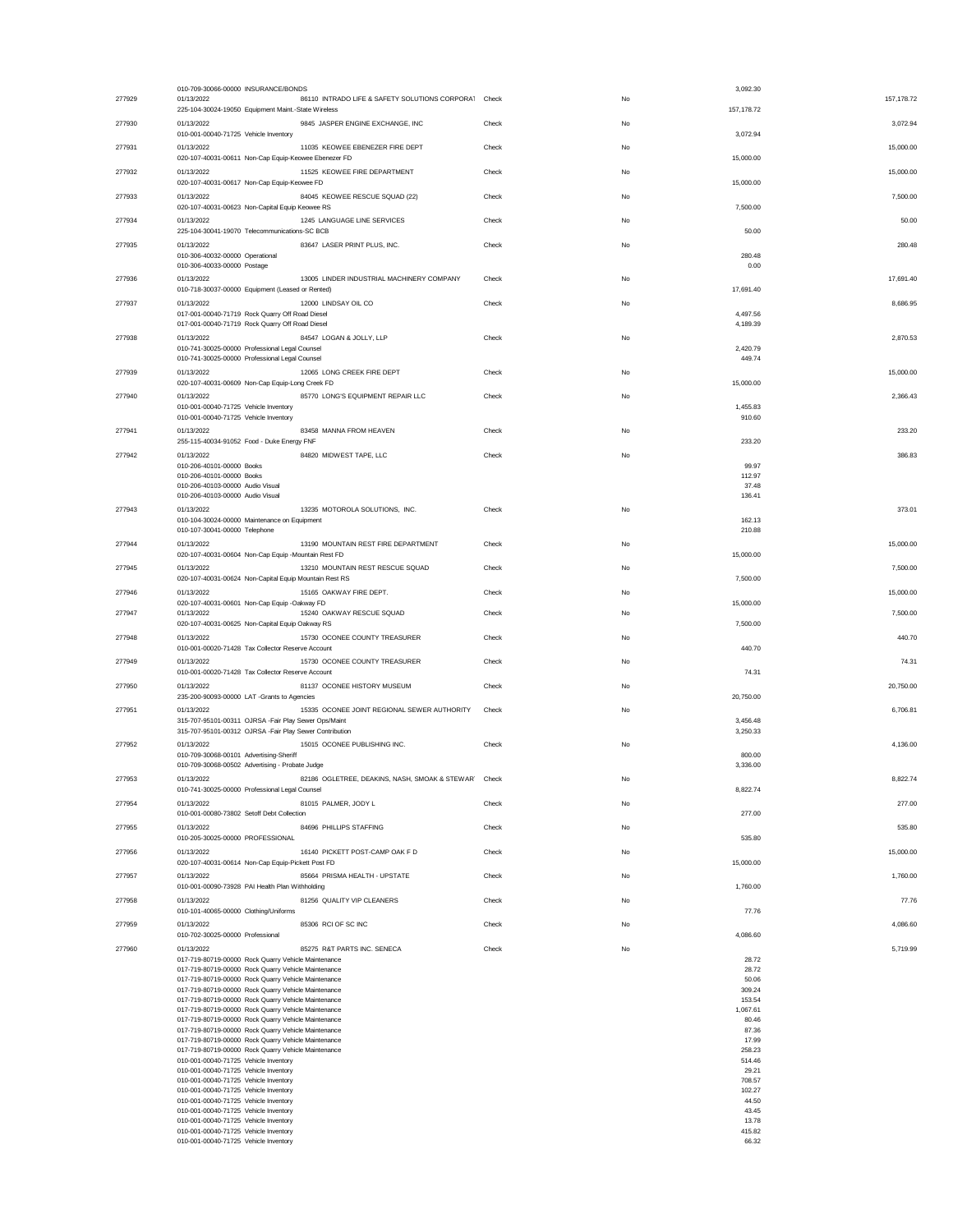|        | 010-709-30066-00000 INSURANCE/BONDS                                                                        |       |    | 3,092.30         |             |
|--------|------------------------------------------------------------------------------------------------------------|-------|----|------------------|-------------|
| 277929 | 86110 INTRADO LIFE & SAFETY SOLUTIONS CORPORAT Check<br>01/13/2022                                         |       | No |                  | 157, 178.72 |
|        | 225-104-30024-19050 Equipment Maint.-State Wireless                                                        |       |    | 157, 178.72      |             |
| 277930 | 9845 JASPER ENGINE EXCHANGE, INC<br>01/13/2022                                                             | Check | No |                  | 3,072.94    |
|        | 010-001-00040-71725 Vehicle Inventory                                                                      |       |    | 3,072.94         |             |
| 277931 | 01/13/2022<br>11035 KEOWEE EBENEZER FIRE DEPT                                                              | Check | No |                  | 15,000.00   |
|        | 020-107-40031-00611 Non-Cap Equip-Keowee Ebenezer FD                                                       |       |    | 15,000.00        |             |
| 277932 | 01/13/2022<br>11525 KEOWEE FIRE DEPARTMENT                                                                 | Check | No |                  | 15,000.00   |
|        | 020-107-40031-00617 Non-Cap Equip-Keowee FD                                                                |       |    | 15,000.00        |             |
| 277933 | 84045 KEOWEE RESCUE SQUAD (22)<br>01/13/2022                                                               | Check | No |                  | 7,500.00    |
|        | 020-107-40031-00623 Non-Capital Equip Keowee RS                                                            |       |    | 7,500.00         |             |
| 277934 | 01/13/2022<br>1245 LANGUAGE LINE SERVICES                                                                  | Check | No |                  | 50.00       |
|        | 225-104-30041-19070 Telecommunications-SC BCB                                                              |       |    | 50.00            |             |
|        |                                                                                                            |       |    |                  |             |
| 277935 | 01/13/2022<br>83647 LASER PRINT PLUS, INC.                                                                 | Check | No |                  | 280.48      |
|        | 010-306-40032-00000 Operational                                                                            |       |    | 280.48           |             |
|        | 010-306-40033-00000 Postage                                                                                |       |    | 0.00             |             |
| 277936 | 01/13/2022<br>13005 LINDER INDUSTRIAL MACHINERY COMPANY                                                    | Check | No |                  | 17,691.40   |
|        | 010-718-30037-00000 Equipment (Leased or Rented)                                                           |       |    | 17,691.40        |             |
| 277937 | 12000 LINDSAY OIL CO<br>01/13/2022                                                                         | Check | No |                  | 8,686.95    |
|        | 017-001-00040-71719 Rock Quarry Off Road Diesel                                                            |       |    | 4,497.56         |             |
|        | 017-001-00040-71719 Rock Quarry Off Road Diesel                                                            |       |    | 4,189.39         |             |
| 277938 | 01/13/2022<br>84547 LOGAN & JOLLY, LLP                                                                     | Check | No |                  | 2,870.53    |
|        | 010-741-30025-00000 Professional Legal Counsel                                                             |       |    | 2,420.79         |             |
|        | 010-741-30025-00000 Professional Legal Counsel                                                             |       |    | 449.74           |             |
| 277939 | 01/13/2022<br>12065 LONG CREEK FIRE DEPT                                                                   | Check | No |                  | 15,000.00   |
|        |                                                                                                            |       |    | 15,000.00        |             |
|        | 020-107-40031-00609 Non-Cap Equip-Long Creek FD                                                            |       |    |                  |             |
| 277940 | 85770 LONG'S EQUIPMENT REPAIR LLC<br>01/13/2022                                                            | Check | No |                  | 2.366.43    |
|        | 010-001-00040-71725 Vehicle Inventory                                                                      |       |    | 1,455.83         |             |
|        | 010-001-00040-71725 Vehicle Inventory                                                                      |       |    | 910.60           |             |
| 277941 | 01/13/2022<br>83458 MANNA FROM HEAVEN                                                                      | Check | No |                  | 233.20      |
|        | 255-115-40034-91052 Food - Duke Energy FNF                                                                 |       |    | 233.20           |             |
| 277942 | 01/13/2022<br>84820 MIDWEST TAPE, LLC                                                                      | Check | No |                  | 386.83      |
|        | 010-206-40101-00000 Books                                                                                  |       |    | 99.97            |             |
|        | 010-206-40101-00000 Books                                                                                  |       |    | 112.97           |             |
|        | 010-206-40103-00000 Audio Visual                                                                           |       |    | 37.48            |             |
|        | 010-206-40103-00000 Audio Visual                                                                           |       |    | 136.41           |             |
| 277943 | 01/13/2022<br>13235 MOTOROLA SOLUTIONS, INC.                                                               | Check | No |                  | 373.01      |
|        | 010-104-30024-00000 Maintenance on Equipment                                                               |       |    | 162.13           |             |
|        | 010-107-30041-00000 Telephone                                                                              |       |    | 210.88           |             |
|        |                                                                                                            |       |    |                  |             |
| 277944 | 13190 MOUNTAIN REST FIRE DEPARTMENT<br>01/13/2022                                                          | Check | No |                  | 15,000.00   |
|        | 020-107-40031-00604 Non-Cap Equip -Mountain Rest FD                                                        |       |    | 15,000.00        |             |
| 277945 | 01/13/2022<br>13210 MOUNTAIN REST RESCUE SQUAD                                                             | Check | No |                  | 7,500.00    |
|        | 020-107-40031-00624 Non-Capital Equip Mountain Rest RS                                                     |       |    | 7,500.00         |             |
| 277946 | 01/13/2022<br>15165 OAKWAY FIRE DEPT.                                                                      | Check | No |                  | 15,000.00   |
|        | 020-107-40031-00601 Non-Cap Equip -Oakway FD                                                               |       |    | 15,000.00        |             |
| 277947 | 01/13/2022<br>15240 OAKWAY RESCUE SQUAD                                                                    | Check | No |                  | 7.500.00    |
|        | 020-107-40031-00625 Non-Capital Equip Oakway RS                                                            |       |    | 7,500.00         |             |
| 277948 | 15730 OCONEE COUNTY TREASURER<br>01/13/2022                                                                | Check | No |                  | 440.70      |
|        | 010-001-00020-71428 Tax Collector Reserve Account                                                          |       |    | 440.70           |             |
|        |                                                                                                            |       |    |                  |             |
| 277949 | 01/13/2022<br>15730 OCONEE COUNTY TREASURER                                                                | Check | No |                  | 74.31       |
|        | 010-001-00020-71428 Tax Collector Reserve Account                                                          |       |    | 74.31            |             |
| 277950 | 01/13/2022<br>81137 OCONEE HISTORY MUSEUM                                                                  | Check | No |                  | 20,750.00   |
|        | 235-200-90093-00000 LAT -Grants to Agencies                                                                |       |    | 20.750.00        |             |
| 277951 | 01/13/2022<br>15335 OCONEE JOINT REGIONAL SEWER AUTHORITY                                                  | Check | No |                  | 6,706.81    |
|        | 315-707-95101-00311 OJRSA -Fair Play Sewer Ops/Maint                                                       |       |    | 3,456.48         |             |
|        | 315-707-95101-00312 OJRSA -Fair Play Sewer Contribution                                                    |       |    | 3,250.33         |             |
|        | 15015 OCONEE PUBLISHING INC.<br>01/13/2022                                                                 |       | No |                  |             |
| 277952 |                                                                                                            | Check |    | 800.00           | 4,136.00    |
|        | 010-709-30068-00101 Advertising-Sheriff<br>010-709-30068-00502 Advertising - Probate Judge                 |       |    | 3,336.00         |             |
|        |                                                                                                            |       |    |                  |             |
| 277953 | 01/13/2022<br>82186 OGLETREE, DEAKINS, NASH, SMOAK & STEWAR' Check                                         |       | No |                  | 8,822.74    |
|        | 010-741-30025-00000 Professional Legal Counsel                                                             |       |    | 8,822.74         |             |
| 277954 | 81015 PALMER, JODY L<br>01/13/2022                                                                         | Check | No |                  | 277.00      |
|        | 010-001-00080-73802 Setoff Debt Collection                                                                 |       |    | 277.00           |             |
| 277955 | 01/13/2022<br>84696 PHILLIPS STAFFING                                                                      | Check | No |                  | 535.80      |
|        | 010-205-30025-00000 PROFESSIONAL                                                                           |       |    | 535.80           |             |
|        |                                                                                                            |       |    |                  |             |
| 277956 | 01/13/2022<br>16140 PICKETT POST-CAMP OAK F D                                                              | Check | No | 15,000.00        | 15,000.00   |
|        | 020-107-40031-00614 Non-Cap Equip-Pickett Post FD                                                          |       |    |                  |             |
| 277957 | 01/13/2022<br>85664 PRISMA HEALTH - UPSTATE                                                                | Check | No |                  | 1,760.00    |
|        | 010-001-00090-73928 PAI Health Plan Withholding                                                            |       |    | 1,760.00         |             |
| 277958 | 81256 QUALITY VIP CLEANERS<br>01/13/2022                                                                   | Check | No |                  | 77.76       |
|        | 010-101-40065-00000 Clothing/Uniforms                                                                      |       |    | 77.76            |             |
| 277959 | 85306 RCI OF SC INC                                                                                        | Check | No |                  | 4,086.60    |
|        |                                                                                                            |       |    |                  |             |
|        | 01/13/2022                                                                                                 |       |    |                  |             |
| 277960 | 010-702-30025-00000 Professional                                                                           |       |    | 4,086.60         |             |
|        | 01/13/2022<br>85275 R&T PARTS INC. SENECA                                                                  | Check | No |                  | 5,719.99    |
|        | 017-719-80719-00000 Rock Quarry Vehicle Maintenance                                                        |       |    | 28.72            |             |
|        | 017-719-80719-00000 Rock Quarry Vehicle Maintenance                                                        |       |    | 28.72            |             |
|        | 017-719-80719-00000 Rock Quarry Vehicle Maintenance                                                        |       |    | 50.06            |             |
|        | 017-719-80719-00000 Rock Quarry Vehicle Maintenance<br>017-719-80719-00000 Rock Quarry Vehicle Maintenance |       |    | 309.24<br>153.54 |             |
|        | 017-719-80719-00000 Rock Quarry Vehicle Maintenance                                                        |       |    | 1,067.61         |             |
|        | 017-719-80719-00000 Rock Quarry Vehicle Maintenance                                                        |       |    | 80.46            |             |
|        | 017-719-80719-00000 Rock Quarry Vehicle Maintenance                                                        |       |    | 87.36            |             |
|        | 017-719-80719-00000 Rock Quarry Vehicle Maintenance                                                        |       |    | 17.99            |             |
|        | 017-719-80719-00000 Rock Quarry Vehicle Maintenance                                                        |       |    | 258.23           |             |
|        | 010-001-00040-71725 Vehicle Inventory                                                                      |       |    | 514.46           |             |
|        | 010-001-00040-71725 Vehicle Inventory                                                                      |       |    | 29.21            |             |
|        | 010-001-00040-71725 Vehicle Inventory                                                                      |       |    | 708.57           |             |
|        | 010-001-00040-71725 Vehicle Inventory                                                                      |       |    | 102.27           |             |
|        | 010-001-00040-71725 Vehicle Inventory                                                                      |       |    | 44.50            |             |
|        | 010-001-00040-71725 Vehicle Inventory                                                                      |       |    | 43.45            |             |
|        | 010-001-00040-71725 Vehicle Inventory                                                                      |       |    | 13.78            |             |
|        | 010-001-00040-71725 Vehicle Inventory<br>010-001-00040-71725 Vehicle Inventory                             |       |    | 415.82<br>66.32  |             |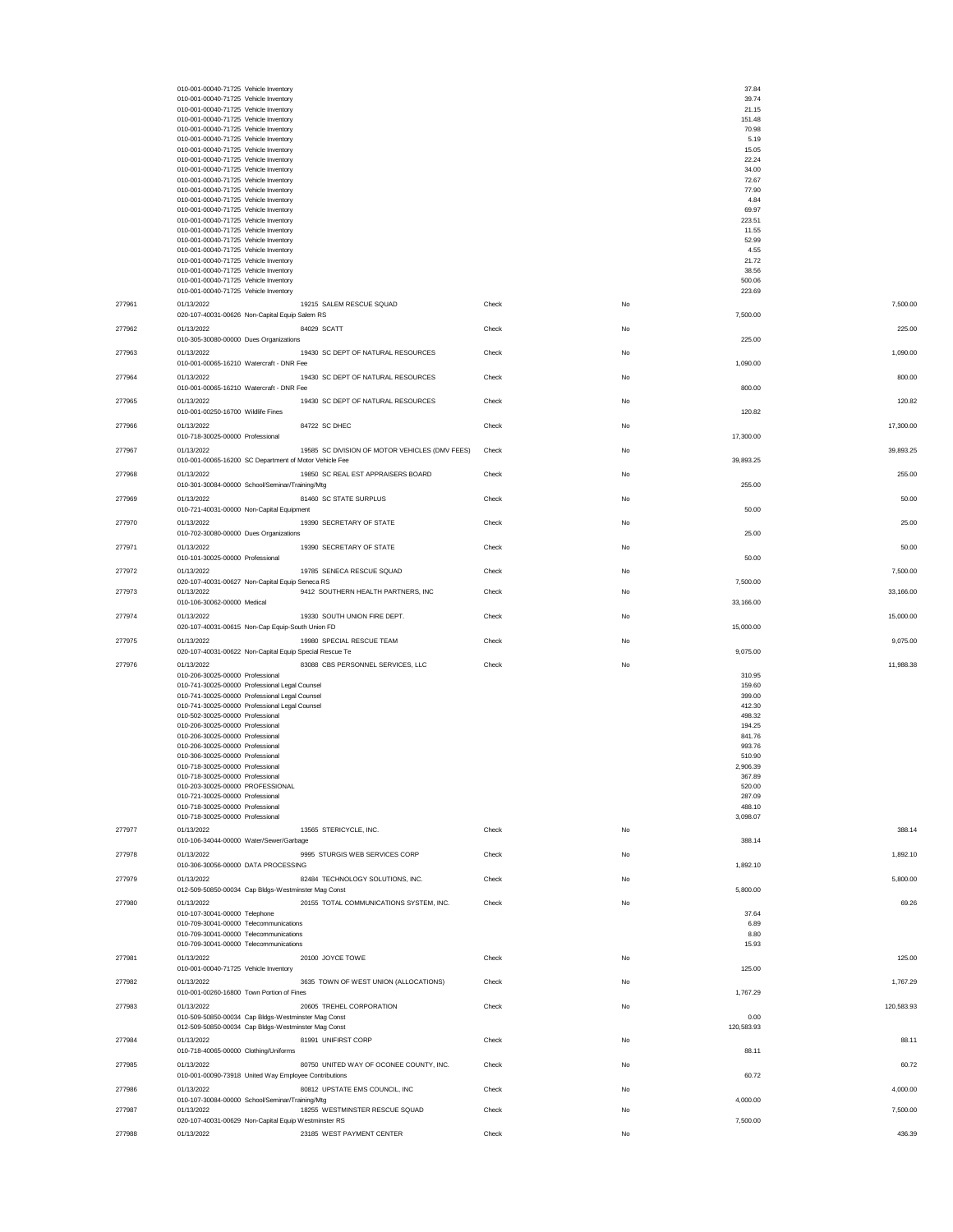|        | 010-001-00040-71725 Vehicle Inventory                                              |                                                |       |           | 37.84                  |
|--------|------------------------------------------------------------------------------------|------------------------------------------------|-------|-----------|------------------------|
|        | 010-001-00040-71725 Vehicle Inventory                                              |                                                |       |           | 39.74                  |
|        | 010-001-00040-71725 Vehicle Inventory<br>010-001-00040-71725 Vehicle Inventory     |                                                |       |           | 21.15<br>151.48        |
|        | 010-001-00040-71725 Vehicle Inventory                                              |                                                |       |           | 70.98                  |
|        | 010-001-00040-71725 Vehicle Inventory<br>010-001-00040-71725 Vehicle Inventory     |                                                |       |           | 5.19<br>15.05          |
|        | 010-001-00040-71725 Vehicle Inventory                                              |                                                |       |           | 22.24                  |
|        | 010-001-00040-71725 Vehicle Inventory                                              |                                                |       |           | 34.00<br>72.67         |
|        | 010-001-00040-71725 Vehicle Inventory<br>010-001-00040-71725 Vehicle Inventory     |                                                |       |           | 77.90                  |
|        | 010-001-00040-71725 Vehicle Inventory                                              |                                                |       |           | 4.84                   |
|        | 010-001-00040-71725 Vehicle Inventory<br>010-001-00040-71725 Vehicle Inventory     |                                                |       |           | 69.97<br>223.51        |
|        | 010-001-00040-71725 Vehicle Inventory                                              |                                                |       |           | 11.55                  |
|        | 010-001-00040-71725 Vehicle Inventory                                              |                                                |       |           | 52.99                  |
|        | 010-001-00040-71725 Vehicle Inventory<br>010-001-00040-71725 Vehicle Inventory     |                                                |       |           | 4.55<br>21.72          |
|        | 010-001-00040-71725 Vehicle Inventory                                              |                                                |       |           | 38.56                  |
|        | 010-001-00040-71725 Vehicle Inventory<br>010-001-00040-71725 Vehicle Inventory     |                                                |       |           | 500.06<br>223.69       |
| 277961 | 01/13/2022                                                                         | 19215 SALEM RESCUE SQUAD                       | Check | No        | 7,500.00               |
|        | 020-107-40031-00626 Non-Capital Equip Salem RS                                     |                                                |       |           | 7,500.00               |
| 277962 | 01/13/2022                                                                         | 84029 SCATT                                    | Check | <b>No</b> | 225.00                 |
|        | 010-305-30080-00000 Dues Organizations                                             |                                                |       |           | 225.00                 |
| 277963 | 01/13/2022<br>010-001-00065-16210 Watercraft - DNR Fee                             | 19430 SC DEPT OF NATURAL RESOURCES             | Check | No        | 1,090.00<br>1,090.00   |
| 277964 | 01/13/2022                                                                         | 19430 SC DEPT OF NATURAL RESOURCES             | Check | No        | 800.00                 |
|        | 010-001-00065-16210 Watercraft - DNR Fee                                           |                                                |       |           | 800.00                 |
| 277965 | 01/13/2022                                                                         | 19430 SC DEPT OF NATURAL RESOURCES             | Check | No        | 120.82                 |
|        | 010-001-00250-16700 Wildlife Fines                                                 |                                                |       |           | 120.82                 |
| 277966 | 01/13/2022                                                                         | 84722 SC DHEC                                  | Check | No        | 17,300.00              |
|        | 010-718-30025-00000 Professional                                                   |                                                |       |           | 17,300.00              |
| 277967 | 01/13/2022<br>010-001-00065-16200 SC Department of Motor Vehicle Fee               | 19585 SC DIVISION OF MOTOR VEHICLES (DMV FEES) | Check | No        | 39.893.25<br>39,893.25 |
| 277968 | 01/13/2022                                                                         | 19850 SC REAL EST APPRAISERS BOARD             | Check | No        | 255.00                 |
|        | 010-301-30084-00000 School/Seminar/Training/Mtg                                    |                                                |       |           | 255.00                 |
| 277969 | 01/13/2022                                                                         | 81460 SC STATE SURPLUS                         | Check | No        | 50.00                  |
|        | 010-721-40031-00000 Non-Capital Equipment                                          |                                                |       |           | 50.00                  |
| 277970 | 01/13/2022                                                                         | 19390 SECRETARY OF STATE                       | Check | No        | 25.00                  |
|        | 010-702-30080-00000 Dues Organizations                                             |                                                |       |           | 25.00                  |
| 277971 | 01/13/2022<br>010-101-30025-00000 Professional                                     | 19390 SECRETARY OF STATE                       | Check | No        | 50.00<br>50.00         |
| 277972 | 01/13/2022                                                                         | 19785 SENECA RESCUE SQUAD                      | Check | No        | 7,500.00               |
|        | 020-107-40031-00627 Non-Capital Equip Seneca RS                                    |                                                |       |           | 7,500.00               |
| 277973 | 01/13/2022                                                                         | 9412 SOUTHERN HEALTH PARTNERS, INC             | Check | No        | 33,166.00              |
|        | 010-106-30062-00000 Medical<br>01/13/2022                                          | 19330 SOUTH UNION FIRE DEPT.                   | Check | No        | 33,166.00              |
| 277974 | 020-107-40031-00615 Non-Cap Equip-South Union FD                                   |                                                |       |           | 15,000.00<br>15,000.00 |
| 277975 | 01/13/2022                                                                         | 19980 SPECIAL RESCUE TEAM                      | Check | No        | 9,075.00               |
|        | 020-107-40031-00622 Non-Capital Equip Special Rescue Te                            |                                                |       |           | 9,075.00               |
| 277976 | 01/13/2022                                                                         | 83088 CBS PERSONNEL SERVICES, LLC              | Check | No        | 11,988.38              |
|        | 010-206-30025-00000 Professional<br>010-741-30025-00000 Professional Legal Counsel |                                                |       |           | 310.95<br>159.60       |
|        | 010-741-30025-00000 Professional Legal Counsel                                     |                                                |       |           | 399.00                 |
|        | 010-741-30025-00000 Professional Legal Counsel                                     |                                                |       |           | 412.30                 |
|        | 010-502-30025-00000 Professional<br>010-206-30025-00000 Professional               |                                                |       |           | 498.32<br>194.25       |
|        | 010-206-30025-00000 Professional                                                   |                                                |       |           | 841.76                 |
|        | 010-206-30025-00000 Professional<br>010-306-30025-00000 Professional               |                                                |       |           | 993.76<br>510.90       |
|        | 010-718-30025-00000 Professional                                                   |                                                |       |           |                        |
|        | 010-718-30025-00000 Professional                                                   |                                                |       |           | 2,906.39               |
|        | 010-203-30025-00000 PROFESSIONAL<br>010-721-30025-00000 Professional               |                                                |       |           | 367.89                 |
|        |                                                                                    |                                                |       |           | 520.00                 |
|        | 010-718-30025-00000 Professional                                                   |                                                |       |           | 287.09<br>488.10       |
|        | 010-718-30025-00000 Professional                                                   |                                                |       |           | 3,098.07               |
| 277977 | 01/13/2022                                                                         | 13565 STERICYCLE, INC.                         | Check | No        | 388.14                 |
|        | 010-106-34044-00000 Water/Sewer/Garbage                                            |                                                |       |           | 388.14                 |
| 277978 | 01/13/2022<br>010-306-30056-00000 DATA PROCESSING                                  | 9995 STURGIS WEB SERVICES CORP                 | Check | No        | 1,892.10<br>1,892.10   |
| 277979 | 01/13/2022                                                                         | 82484 TECHNOLOGY SOLUTIONS, INC.               | Check | No        | 5,800.00               |
|        | 012-509-50850-00034 Cap Bldgs-Westminster Mag Const                                |                                                |       |           | 5,800.00               |
| 277980 | 01/13/2022                                                                         | 20155 TOTAL COMMUNICATIONS SYSTEM, INC.        | Check | <b>No</b> | 69.26                  |
|        | 010-107-30041-00000 Telephone                                                      |                                                |       |           | 37.64<br>6.89          |
|        | 010-709-30041-00000 Telecommunications<br>010-709-30041-00000 Telecommunications   |                                                |       |           | 8.80                   |
|        | 010-709-30041-00000 Telecommunications                                             |                                                |       |           | 15.93                  |
| 277981 | 01/13/2022                                                                         | 20100 JOYCE TOWE                               | Check | No        | 125.00                 |
| 277982 | 010-001-00040-71725 Vehicle Inventory<br>01/13/2022                                |                                                |       | No        | 125.00<br>1,767.29     |
|        | 010-001-00260-16800 Town Portion of Fines                                          | 3635 TOWN OF WEST UNION (ALLOCATIONS)          | Check |           | 1,767.29               |
| 277983 | 01/13/2022                                                                         | 20605 TREHEL CORPORATION                       | Check | No        | 120,583.93             |
|        | 010-509-50850-00034 Cap Bldgs-Westminster Mag Const                                |                                                |       |           | 0.00                   |
|        | 012-509-50850-00034 Cap Bldgs-Westminster Mag Const                                |                                                |       |           | 120,583.93             |
| 277984 | 01/13/2022<br>010-718-40065-00000 Clothing/Uniforms                                | 81991 UNIFIRST CORP                            | Check | No        | 88.11<br>88.11         |
| 277985 | 01/13/2022                                                                         | 80750 UNITED WAY OF OCONEE COUNTY, INC.        | Check | No        | 60.72                  |
|        | 010-001-00090-73918 United Way Employee Contributions                              |                                                |       |           | 60.72                  |
| 277986 | 01/13/2022                                                                         | 80812 UPSTATE EMS COUNCIL, INC                 | Check | No        | 4,000.00               |
| 277987 | 010-107-30084-00000 School/Seminar/Training/Mtg<br>01/13/2022                      | 18255 WESTMINSTER RESCUE SQUAD                 | Check | No        | 4,000.00<br>7,500.00   |
| 277988 | 020-107-40031-00629 Non-Capital Equip Westminster RS                               |                                                |       |           | 7,500.00               |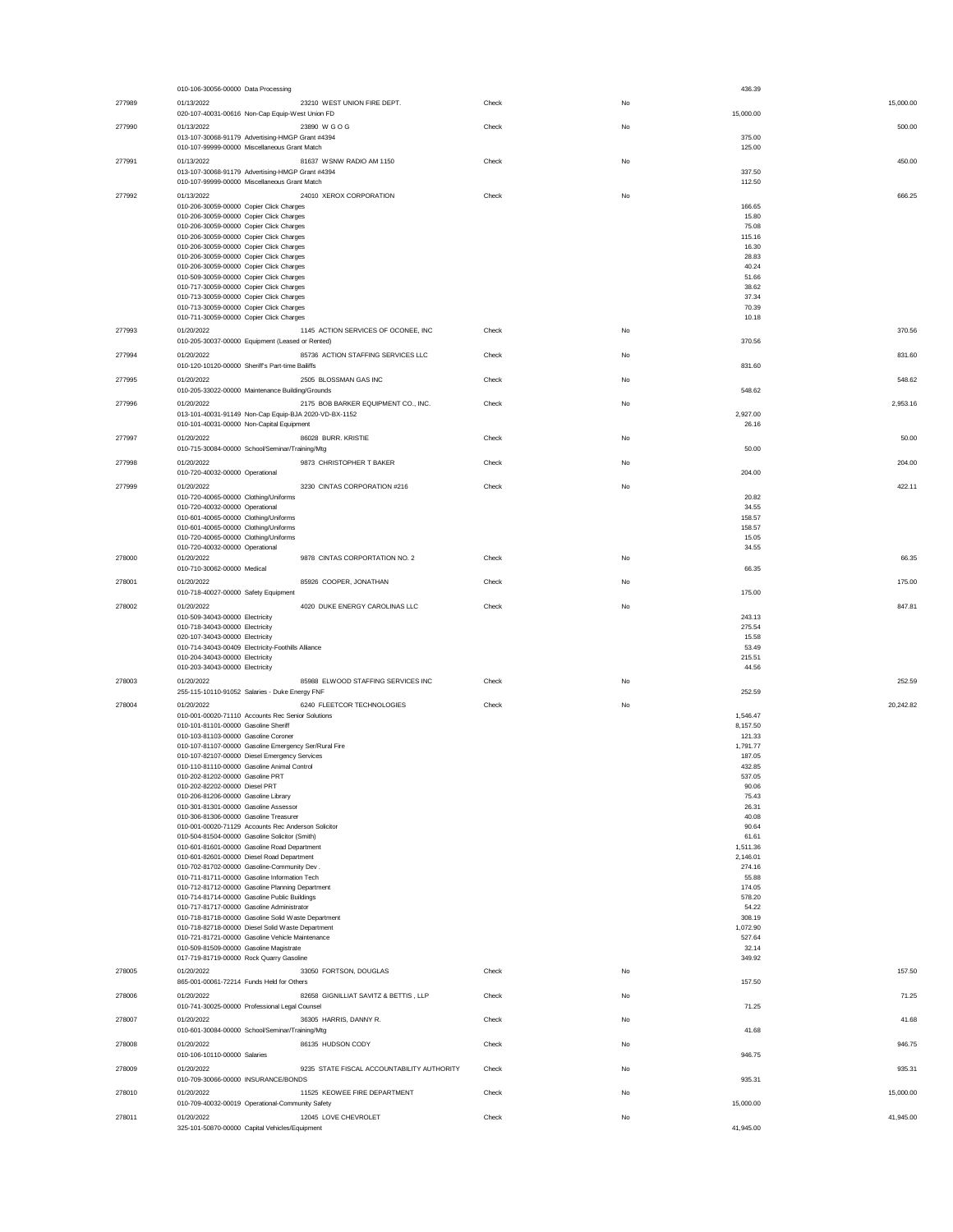|        | 010-106-30056-00000 Data Processing                                                                    |       |    | 436.39                 |
|--------|--------------------------------------------------------------------------------------------------------|-------|----|------------------------|
| 277989 | 01/13/2022<br>23210 WEST UNION FIRE DEPT.<br>020-107-40031-00616 Non-Cap Equip-West Union FD           | Check | No | 15,000.00<br>15,000.00 |
| 277990 | 01/13/2022<br>23890 W G O G<br>013-107-30068-91179 Advertising-HMGP Grant #4394                        | Check | No | 500.00<br>375.00       |
|        | 010-107-99999-00000 Miscellaneous Grant Match                                                          |       |    | 125.00                 |
| 277991 | 01/13/2022<br>81637 WSNW RADIO AM 1150<br>013-107-30068-91179 Advertising-HMGP Grant #4394             | Check | No | 450.00<br>337.50       |
|        | 010-107-99999-00000 Miscellaneous Grant Match                                                          |       |    | 112.50                 |
| 277992 | 24010 XEROX CORPORATION<br>01/13/2022<br>010-206-30059-00000 Copier Click Charges                      | Check | No | 666.25<br>166.65       |
|        | 010-206-30059-00000 Copier Click Charges                                                               |       |    | 15.80                  |
|        | 010-206-30059-00000 Copier Click Charges<br>010-206-30059-00000 Copier Click Charges                   |       |    | 75.08<br>115.16        |
|        | 010-206-30059-00000 Copier Click Charges                                                               |       |    | 16.30                  |
|        | 010-206-30059-00000 Copier Click Charges<br>010-206-30059-00000 Copier Click Charges                   |       |    | 28.83<br>40.24         |
|        | 010-509-30059-00000 Copier Click Charges<br>010-717-30059-00000 Copier Click Charges                   |       |    | 51.66<br>38.62         |
|        | 010-713-30059-00000 Copier Click Charges                                                               |       |    | 37.34                  |
|        | 010-713-30059-00000 Copier Click Charges<br>010-711-30059-00000 Copier Click Charges                   |       |    | 70.39<br>10.18         |
| 277993 | 01/20/2022<br>1145 ACTION SERVICES OF OCONEE, INC                                                      | Check | No | 370.56                 |
|        | 010-205-30037-00000 Equipment (Leased or Rented)                                                       |       |    | 370.56                 |
| 277994 | 01/20/2022<br>85736 ACTION STAFFING SERVICES LLC<br>010-120-10120-00000 Sheriff's Part-time Bailiffs   | Check | No | 831.60<br>831.60       |
| 277995 | 01/20/2022<br>2505 BLOSSMAN GAS INC<br>010-205-33022-00000 Maintenance Building/Grounds                | Check | No | 548.62<br>548.62       |
| 277996 | 2175 BOB BARKER EQUIPMENT CO., INC.<br>01/20/2022                                                      | Check | No | 2,953.16               |
|        | 013-101-40031-91149 Non-Cap Equip-BJA 2020-VD-BX-1152                                                  |       |    | 2,927.00               |
| 277997 | 010-101-40031-00000 Non-Capital Equipment<br>01/20/2022<br>86028 BURR. KRISTIE                         | Check | No | 26.16<br>50.00         |
|        | 010-715-30084-00000 School/Seminar/Training/Mtg                                                        |       |    | 50.00                  |
| 277998 | 01/20/2022<br>9873 CHRISTOPHER T BAKER<br>010-720-40032-00000 Operational                              | Check | No | 204.00<br>204.00       |
| 277999 | 3230 CINTAS CORPORATION #216<br>01/20/2022                                                             | Check | No | 422.11                 |
|        | 010-720-40065-00000 Clothing/Uniforms                                                                  |       |    | 20.82                  |
|        | 010-720-40032-00000 Operational<br>010-601-40065-00000 Clothing/Uniforms                               |       |    | 34.55<br>158.57        |
|        | 010-601-40065-00000 Clothing/Uniforms<br>010-720-40065-00000 Clothing/Uniforms                         |       |    | 158.57<br>15.05        |
|        | 010-720-40032-00000 Operational                                                                        |       |    | 34.55                  |
| 278000 | 01/20/2022<br>9878 CINTAS CORPORTATION NO. 2<br>010-710-30062-00000 Medical                            | Check | No | 66.35<br>66.35         |
| 278001 | 01/20/2022<br>85926 COOPER, JONATHAN                                                                   | Check | No | 175.00                 |
| 278002 | 010-718-40027-00000 Safety Equipment<br>4020 DUKE ENERGY CAROLINAS LLC<br>01/20/2022                   | Check | No | 175.00<br>847.81       |
|        | 010-509-34043-00000 Electricity                                                                        |       |    | 243.13                 |
|        | 010-718-34043-00000 Electricity<br>020-107-34043-00000 Electricity                                     |       |    | 275.54<br>15.58        |
|        | 010-714-34043-00409 Electricity-Foothills Alliance<br>010-204-34043-00000 Electricity                  |       |    | 53.49<br>215.51        |
|        | 010-203-34043-00000 Electricity                                                                        |       |    | 44.56                  |
| 278003 | 85988 ELWOOD STAFFING SERVICES INC<br>01/20/2022<br>255-115-10110-91052 Salaries - Duke Energy FNF     | Check | No | 252.59<br>252.59       |
| 278004 | 01/20/2022<br>6240 FLEETCOR TECHNOLOGIES                                                               | Check | No | 20,242.82              |
|        | 010-001-00020-71110 Accounts Rec Senior Solutions                                                      |       |    | 1,546.47               |
|        | 010-101-81101-00000 Gasoline Sheriff<br>010-103-81103-00000 Gasoline Coroner                           |       |    | 8,157.50<br>121.33     |
|        | 010-107-81107-00000 Gasoline Emergency Ser/Rural Fire<br>010-107-82107-00000 Diesel Emergency Services |       |    | 1,791.77<br>187.05     |
|        | 010-110-81110-00000 Gasoline Animal Control                                                            |       |    | 432.85                 |
|        | 010-202-81202-00000 Gasoline PRT<br>010-202-82202-00000 Diesel PRT                                     |       |    | 537.05<br>90.06        |
|        | 010-206-81206-00000 Gasoline Library                                                                   |       |    | 75.43                  |
|        | 010-301-81301-00000 Gasoline Assessor<br>010-306-81306-00000 Gasoline Treasurer                        |       |    | 26.31<br>40.08         |
|        | 010-001-00020-71129 Accounts Rec Anderson Solicitor<br>010-504-81504-00000 Gasoline Solicitor (Smith)  |       |    | 90.64<br>61.61         |
|        | 010-601-81601-00000 Gasoline Road Department                                                           |       |    | 1,511.36               |
|        | 010-601-82601-00000 Diesel Road Department<br>010-702-81702-00000 Gasoline-Community Dev.              |       |    | 2,146.01<br>274.16     |
|        | 010-711-81711-00000 Gasoline Information Tech<br>010-712-81712-00000 Gasoline Planning Department      |       |    | 55.88<br>174.05        |
|        | 010-714-81714-00000 Gasoline Public Buildings                                                          |       |    | 578.20                 |
|        | 010-717-81717-00000 Gasoline Administrator<br>010-718-81718-00000 Gasoline Solid Waste Department      |       |    | 54.22<br>308.19        |
|        | 010-718-82718-00000 Diesel Solid Waste Department                                                      |       |    | 1,072.90               |
|        | 010-721-81721-00000 Gasoline Vehicle Maintenance<br>010-509-81509-00000 Gasoline Magistrate            |       |    | 527.64<br>32.14        |
| 278005 | 017-719-81719-00000 Rock Quarry Gasoline<br>01/20/2022<br>33050 FORTSON, DOUGLAS                       | Check | No | 349.92<br>157.50       |
|        | 865-001-00061-72214 Funds Held for Others                                                              |       |    | 157.50                 |
| 278006 | 01/20/2022<br>82658 GIGNILLIAT SAVITZ & BETTIS, LLP<br>010-741-30025-00000 Professional Legal Counsel  | Check | No | 71.25<br>71.25         |
| 278007 | 01/20/2022<br>36305 HARRIS, DANNY R.                                                                   | Check | No | 41.68                  |
| 278008 | 010-601-30084-00000 School/Seminar/Training/Mtg<br>01/20/2022<br>86135 HUDSON CODY                     |       | No | 41.68<br>946.75        |
|        | 010-106-10110-00000 Salaries                                                                           | Check |    | 946.75                 |
| 278009 | 01/20/2022<br>9235 STATE FISCAL ACCOUNTABILITY AUTHORITY<br>010-709-30066-00000 INSURANCE/BONDS        | Check | No | 935.31<br>935.31       |
| 278010 | 11525 KEOWEE FIRE DEPARTMENT<br>01/20/2022                                                             | Check | No | 15,000.00              |
| 278011 | 010-709-40032-00019 Operational-Community Safety<br>12045 LOVE CHEVROLET<br>01/20/2022                 | Check | No | 15,000.00<br>41,945.00 |
|        | 325-101-50870-00000 Capital Vehicles/Equipment                                                         |       |    | 41,945.00              |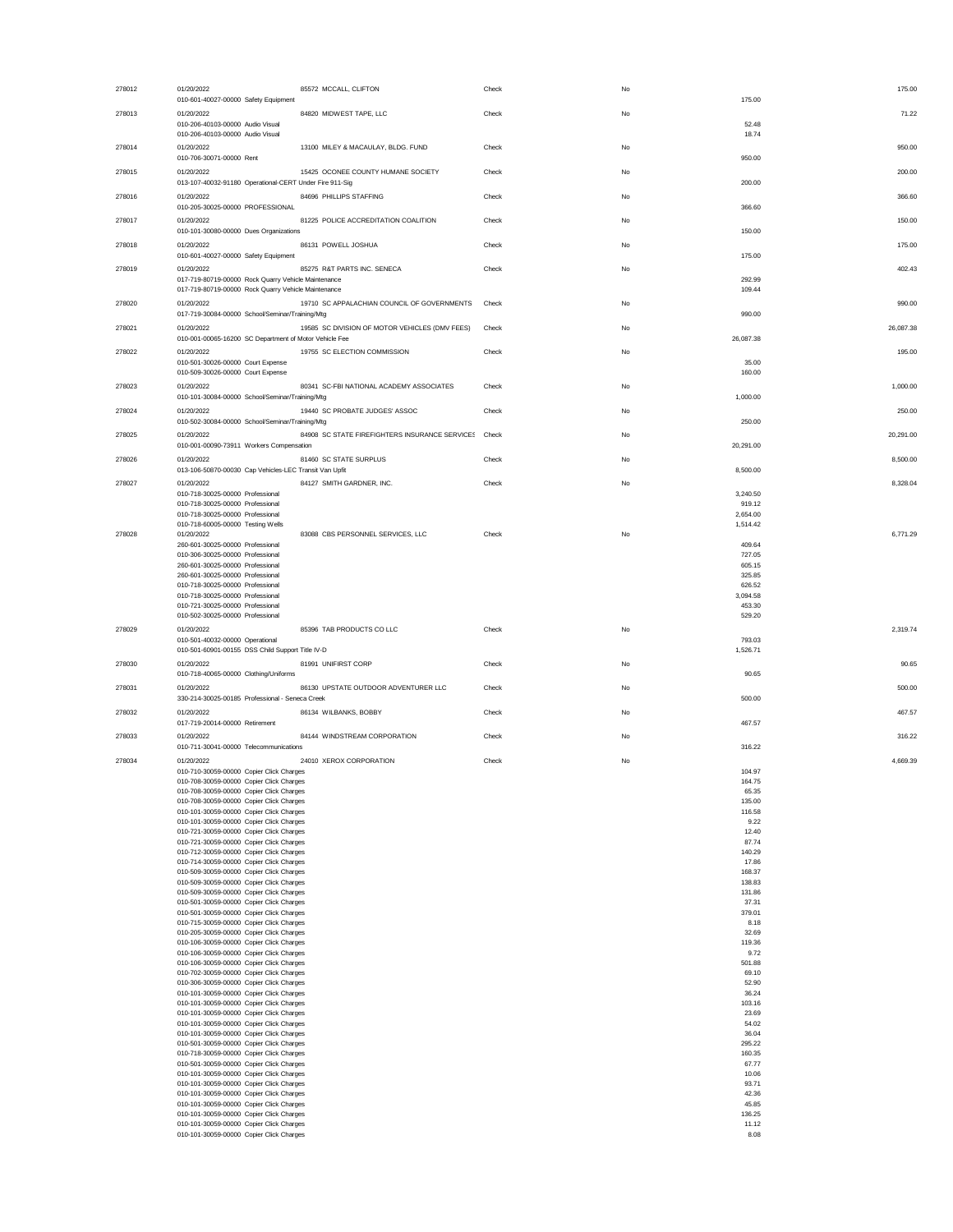| 278012 | 01/20/2022<br>85572 MCCALL, CLIFTON<br>010-601-40027-00000 Safety Equipment                                |                                                      | Check | No | 175.00<br>175.00     |
|--------|------------------------------------------------------------------------------------------------------------|------------------------------------------------------|-------|----|----------------------|
| 278013 | 01/20/2022                                                                                                 | 84820 MIDWEST TAPE, LLC                              | Check | No | 71.22                |
|        | 010-206-40103-00000 Audio Visual<br>010-206-40103-00000 Audio Visual                                       |                                                      |       |    | 52.48<br>18.74       |
| 278014 | 01/20/2022                                                                                                 | 13100 MILEY & MACAULAY, BLDG. FUND                   | Check | No | 950.00               |
|        | 010-706-30071-00000 Rent                                                                                   |                                                      |       |    | 950.00               |
| 278015 | 01/20/2022<br>013-107-40032-91180 Operational-CERT Under Fire 911-Sig                                      | 15425 OCONEE COUNTY HUMANE SOCIETY                   | Check | No | 200.00<br>200.00     |
| 278016 | 01/20/2022                                                                                                 | 84696 PHILLIPS STAFFING                              | Check | No | 366.60<br>366.60     |
| 278017 | 010-205-30025-00000 PROFESSIONAL<br>01/20/2022                                                             | 81225 POLICE ACCREDITATION COALITION                 | Check | No | 150.00               |
|        | 010-101-30080-00000 Dues Organizations                                                                     |                                                      |       |    | 150.00               |
| 278018 | 86131 POWELL JOSHUA<br>01/20/2022<br>010-601-40027-00000 Safety Equipment                                  |                                                      | Check | No | 175.00<br>175.00     |
| 278019 | 01/20/2022                                                                                                 | 85275 R&T PARTS INC. SENECA                          | Check | No | 402.43               |
|        | 017-719-80719-00000 Rock Quarry Vehicle Maintenance<br>017-719-80719-00000 Rock Quarry Vehicle Maintenance |                                                      |       |    | 292.99<br>109.44     |
| 278020 | 01/20/2022                                                                                                 | 19710 SC APPALACHIAN COUNCIL OF GOVERNMENTS          | Check | No | 990.00               |
| 278021 | 017-719-30084-00000 School/Seminar/Training/Mtg<br>01/20/2022                                              | 19585 SC DIVISION OF MOTOR VEHICLES (DMV FEES)       | Check | No | 990.00<br>26,087.38  |
|        | 010-001-00065-16200 SC Department of Motor Vehicle Fee                                                     |                                                      |       |    | 26,087.38            |
| 278022 | 01/20/2022<br>010-501-30026-00000 Court Expense                                                            | 19755 SC ELECTION COMMISSION                         | Check | No | 195.00<br>35.00      |
|        | 010-509-30026-00000 Court Expense                                                                          |                                                      |       |    | 160.00               |
| 278023 | 01/20/2022<br>010-101-30084-00000 School/Seminar/Training/Mtg                                              | 80341 SC-FBI NATIONAL ACADEMY ASSOCIATES             | Check | No | 1,000.00<br>1,000.00 |
| 278024 | 01/20/2022                                                                                                 | 19440 SC PROBATE JUDGES' ASSOC                       | Check | No | 250.00               |
| 278025 | 010-502-30084-00000 School/Seminar/Training/Mtg<br>01/20/2022                                              | 84908 SC STATE FIREFIGHTERS INSURANCE SERVICES Check |       | No | 250.00<br>20,291.00  |
|        | 010-001-00090-73911 Workers Compensation                                                                   |                                                      |       |    | 20,291.00            |
| 278026 | 01/20/2022<br>013-106-50870-00030 Cap Vehicles-LEC Transit Van Upfit                                       | 81460 SC STATE SURPLUS                               | Check | No | 8,500.00<br>8,500.00 |
| 278027 | 01/20/2022                                                                                                 | 84127 SMITH GARDNER, INC.                            | Check | No | 8,328.04             |
|        | 010-718-30025-00000 Professional<br>010-718-30025-00000 Professional                                       |                                                      |       |    | 3,240.50<br>919.12   |
|        | 010-718-30025-00000 Professional                                                                           |                                                      |       |    | 2,654.00             |
| 278028 | 010-718-60005-00000 Testing Wells<br>01/20/2022                                                            | 83088 CBS PERSONNEL SERVICES, LLC                    | Check | No | 1,514.42<br>6,771.29 |
|        | 260-601-30025-00000 Professional<br>010-306-30025-00000 Professional                                       |                                                      |       |    | 409.64<br>727.05     |
|        | 260-601-30025-00000 Professional<br>260-601-30025-00000 Professional                                       |                                                      |       |    | 605.15<br>325.85     |
|        | 010-718-30025-00000 Professional                                                                           |                                                      |       |    | 626.52               |
|        | 010-718-30025-00000 Professional<br>010-721-30025-00000 Professional                                       |                                                      |       |    | 3,094.58<br>453.30   |
|        |                                                                                                            |                                                      |       |    |                      |
|        | 010-502-30025-00000 Professional                                                                           |                                                      |       |    | 529.20               |
| 278029 | 01/20/2022<br>010-501-40032-00000 Operational                                                              | 85396 TAB PRODUCTS CO LLC                            | Check | No | 2,319.74<br>793.03   |
|        | 010-501-60901-00155 DSS Child Support Title IV-D                                                           |                                                      |       |    | 1,526.71             |
| 278030 | 81991 UNIFIRST CORP<br>01/20/2022<br>010-718-40065-00000 Clothing/Uniforms                                 |                                                      | Check | No | 90.65<br>90.65       |
| 278031 | 01/20/2022                                                                                                 | 86130 UPSTATE OUTDOOR ADVENTURER LLC                 | Check | No | 500.00               |
| 278032 | 330-214-30025-00185 Professional - Seneca Creek<br>01/20/2022                                              | 86134 WILBANKS, BOBBY                                | Check | No | 500.00<br>467.57     |
|        | 017-719-20014-00000 Retirement                                                                             |                                                      |       |    | 467.57               |
| 278033 | 01/20/2022<br>010-711-30041-00000 Telecommunications                                                       | 84144 WINDSTREAM CORPORATION                         | Check | No | 316.22<br>316.22     |
| 278034 | 01/20/2022                                                                                                 | 24010 XEROX CORPORATION                              | Check | No | 4.669.39             |
|        | 010-710-30059-00000 Copier Click Charges<br>010-708-30059-00000 Copier Click Char                          |                                                      |       |    | 104.97<br>164.75     |
|        | 010-708-30059-00000 Copier Click Charges<br>010-708-30059-00000 Copier Click Charges                       |                                                      |       |    | 65.35<br>135.00      |
|        | 010-101-30059-00000 Copier Click Charges                                                                   |                                                      |       |    | 116.58               |
|        | 010-101-30059-00000 Copier Click Charges<br>010-721-30059-00000 Copier Click Charges                       |                                                      |       |    | 9.22<br>12.40        |
|        | 010-721-30059-00000 Copier Click Charges<br>010-712-30059-00000 Copier Click Charges                       |                                                      |       |    | 87.74<br>140.29      |
|        | 010-714-30059-00000 Copier Click Charges<br>010-509-30059-00000 Copier Click Charges                       |                                                      |       |    | 17.86<br>168.37      |
|        | 010-509-30059-00000 Copier Click Charges                                                                   |                                                      |       |    | 138.83               |
|        | 010-509-30059-00000 Copier Click Charges<br>010-501-30059-00000 Copier Click Charges                       |                                                      |       |    | 131.86<br>37.31      |
|        | 010-501-30059-00000 Copier Click Charges<br>010-715-30059-00000 Copier Click Charges                       |                                                      |       |    | 379.01<br>8.18       |
|        | 010-205-30059-00000 Copier Click Charges                                                                   |                                                      |       |    | 32.69                |
|        | 010-106-30059-00000 Copier Click Charges<br>010-106-30059-00000 Copier Click Charges                       |                                                      |       |    | 119.36<br>9.72       |
|        | 010-106-30059-00000 Copier Click Charges<br>010-702-30059-00000 Copier Click Charges                       |                                                      |       |    | 501.88<br>69.10      |
|        | 010-306-30059-00000 Copier Click Charges<br>010-101-30059-00000 Copier Click Charges                       |                                                      |       |    | 52.90<br>36.24       |
|        | 010-101-30059-00000 Copier Click Charges                                                                   |                                                      |       |    | 103.16               |
|        | 010-101-30059-00000 Copier Click Charges<br>010-101-30059-00000 Copier Click Charges                       |                                                      |       |    | 23.69<br>54.02       |
|        | 010-101-30059-00000 Copier Click Charges<br>010-501-30059-00000 Copier Click Charges                       |                                                      |       |    | 36.04<br>295.22      |
|        | 010-718-30059-00000 Copier Click Charges                                                                   |                                                      |       |    | 160.35<br>67.77      |
|        | 010-501-30059-00000 Copier Click Charges<br>010-101-30059-00000 Copier Click Charges                       |                                                      |       |    | 10.06                |
|        | 010-101-30059-00000 Copier Click Charges<br>010-101-30059-00000 Copier Click Charges                       |                                                      |       |    | 93.71<br>42.36       |
|        | 010-101-30059-00000 Copier Click Charges<br>010-101-30059-00000 Copier Click Charges                       |                                                      |       |    | 45.85<br>136.25      |
|        | 010-101-30059-00000 Copier Click Charges<br>010-101-30059-00000 Copier Click Charges                       |                                                      |       |    | 11.12<br>8.08        |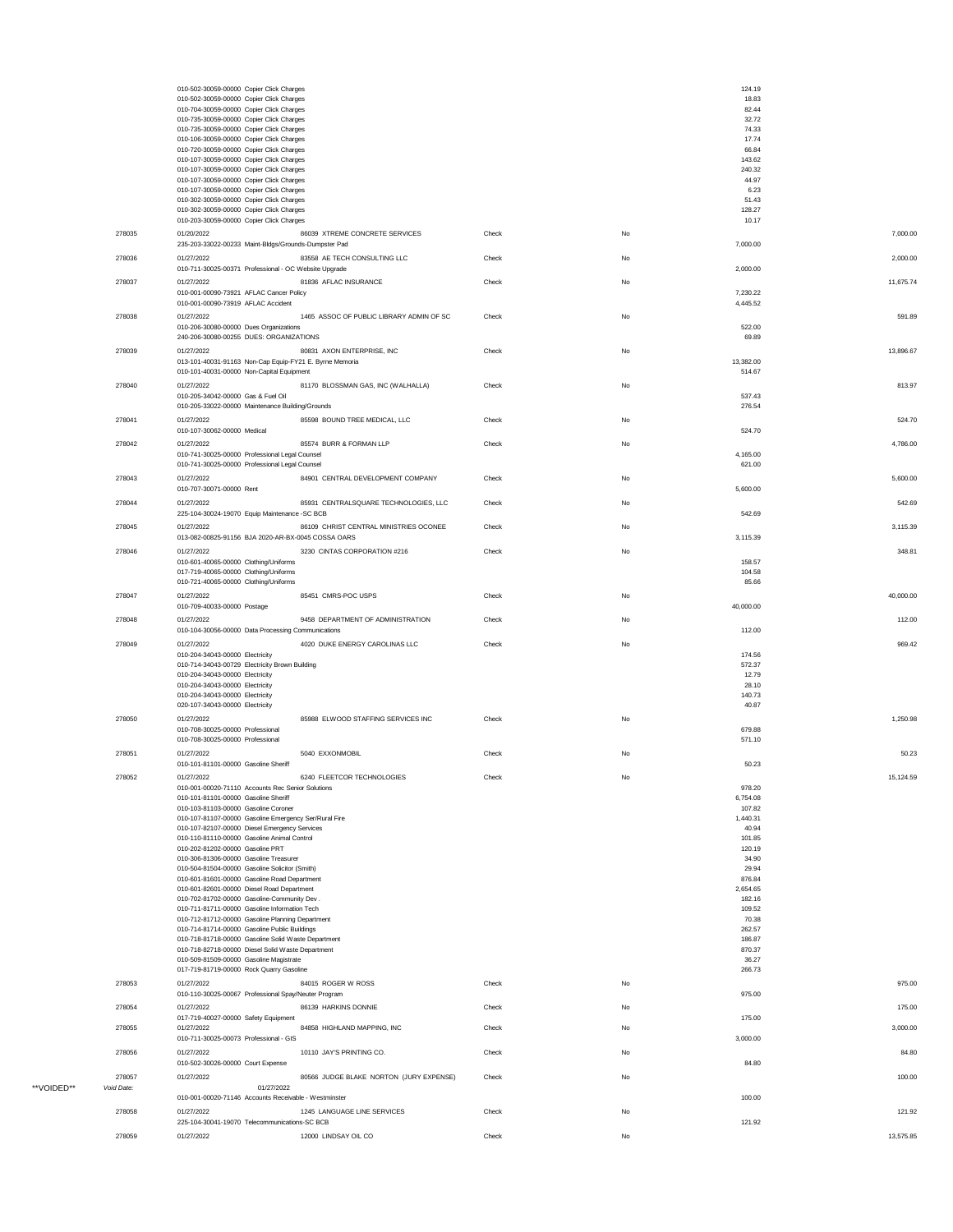|                      | 010-502-30059-00000 Copier Click Charges<br>010-502-30059-00000 Copier Click Charges                       |       |    | 124.19<br>18.83     |           |
|----------------------|------------------------------------------------------------------------------------------------------------|-------|----|---------------------|-----------|
|                      | 010-704-30059-00000 Copier Click Charges                                                                   |       |    | 82.44               |           |
|                      | 010-735-30059-00000 Copier Click Charges<br>010-735-30059-00000 Copier Click Charges                       |       |    | 32.72<br>74.33      |           |
|                      | 010-106-30059-00000 Copier Click Charges                                                                   |       |    | 17.74               |           |
|                      | 010-720-30059-00000 Copier Click Charges<br>010-107-30059-00000 Copier Click Charges                       |       |    | 66.84<br>143.62     |           |
|                      | 010-107-30059-00000 Copier Click Charges                                                                   |       |    | 240.32              |           |
|                      | 010-107-30059-00000 Copier Click Charges<br>010-107-30059-00000 Copier Click Charges                       |       |    | 44.97<br>6.23       |           |
|                      | 010-302-30059-00000 Copier Click Charges                                                                   |       |    | 51.43               |           |
|                      | 010-302-30059-00000 Copier Click Charges<br>010-203-30059-00000 Copier Click Charges                       |       |    | 128.27<br>10.17     |           |
| 278035               | 86039 XTREME CONCRETE SERVICES<br>01/20/2022                                                               | Check | No |                     | 7,000.00  |
|                      | 235-203-33022-00233 Maint-Bldgs/Grounds-Dumpster Pad                                                       |       |    | 7,000.00            |           |
| 278036               | 01/27/2022<br>83558 AE TECH CONSULTING LLC                                                                 | Check | No |                     | 2,000.00  |
| 278037               | 010-711-30025-00371 Professional - OC Website Upgrade<br>01/27/2022<br>81836 AFLAC INSURANCE               | Check | No | 2,000.00            | 11,675.74 |
|                      | 010-001-00090-73921 AFLAC Cancer Policy                                                                    |       |    | 7,230.22            |           |
|                      | 010-001-00090-73919 AFLAC Accident                                                                         |       |    | 4,445.52            |           |
| 278038               | 01/27/2022<br>1465 ASSOC OF PUBLIC LIBRARY ADMIN OF SC<br>010-206-30080-00000 Dues Organizations           | Check | No | 522.00              | 591.89    |
|                      | 240-206-30080-00255 DUES: ORGANIZATIONS                                                                    |       |    | 69.89               |           |
| 278039               | 01/27/2022<br>80831 AXON ENTERPRISE, INC                                                                   | Check | No |                     | 13,896.67 |
|                      | 013-101-40031-91163 Non-Cap Equip-FY21 E. Byrne Memoria<br>010-101-40031-00000 Non-Capital Equipment       |       |    | 13,382.00<br>514.67 |           |
| 278040               | 01/27/2022<br>81170 BLOSSMAN GAS, INC (WALHALLA)                                                           | Check | No |                     | 813.97    |
|                      | 010-205-34042-00000 Gas & Fuel Oil                                                                         |       |    | 537.43              |           |
| 278041               | 010-205-33022-00000 Maintenance Building/Grounds<br>85598 BOUND TREE MEDICAL, LLC<br>01/27/2022            | Check | No | 276.54              | 524.70    |
|                      | 010-107-30062-00000 Medical                                                                                |       |    | 524.70              |           |
| 278042               | 01/27/2022<br>85574 BURR & FORMAN LLP                                                                      | Check | No |                     | 4,786.00  |
|                      | 010-741-30025-00000 Professional Legal Counsel<br>010-741-30025-00000 Professional Legal Counsel           |       |    | 4,165.00            |           |
| 278043               | 01/27/2022<br>84901 CENTRAL DEVELOPMENT COMPANY                                                            | Check | No | 621.00              | 5,600.00  |
|                      | 010-707-30071-00000 Rent                                                                                   |       |    | 5,600.00            |           |
| 278044               | 01/27/2022<br>85931 CENTRALSQUARE TECHNOLOGIES, LLC                                                        | Check | No |                     | 542.69    |
|                      | 225-104-30024-19070 Equip Maintenance - SC BCB                                                             |       |    | 542.69              |           |
| 278045               | 01/27/2022<br>86109 CHRIST CENTRAL MINISTRIES OCONEE<br>013-082-00825-91156 BJA 2020-AR-BX-0045 COSSA OARS | Check | No | 3,115.39            | 3,115.39  |
| 278046               | 3230 CINTAS CORPORATION #216<br>01/27/2022                                                                 | Check | No |                     | 348.81    |
|                      | 010-601-40065-00000 Clothing/Uniforms                                                                      |       |    | 158.57              |           |
|                      | 017-719-40065-00000 Clothing/Uniforms<br>010-721-40065-00000 Clothing/Uniforms                             |       |    | 104.58<br>85.66     |           |
| 278047               | 01/27/2022<br>85451 CMRS-POC USPS                                                                          | Check | No |                     | 40,000.00 |
|                      | 010-709-40033-00000 Postage                                                                                |       |    | 40,000.00           |           |
| 278048               | 01/27/2022<br>9458 DEPARTMENT OF ADMINISTRATION<br>010-104-30056-00000 Data Processing Communications      | Check | No | 112.00              | 112.00    |
| 278049               | 4020 DUKE ENERGY CAROLINAS LLC<br>01/27/2022                                                               | Check | No |                     | 969.42    |
|                      | 010-204-34043-00000 Electricity                                                                            |       |    | 174.56              |           |
|                      | 010-714-34043-00729 Electricity Brown Building<br>010-204-34043-00000 Electricity                          |       |    | 572.37<br>12.79     |           |
|                      | 010-204-34043-00000 Electricity                                                                            |       |    | 28.10               |           |
|                      | 010-204-34043-00000 Electricity<br>020-107-34043-00000 Electricity                                         |       |    | 140.73<br>40.87     |           |
| 278050               | 85988 ELWOOD STAFFING SERVICES INC<br>01/27/2022                                                           | Check | No |                     | 1,250.98  |
|                      | 010-708-30025-00000 Professional                                                                           |       |    | 679.88              |           |
|                      | 010-708-30025-00000 Professional                                                                           |       |    | 571.10              |           |
| 278051               | 01/27/2022<br>5040 EXXONMOBIL<br>010-101-81101-00000 Gasoline Sheriff                                      | Check | No | 50.23               | 50.23     |
| 278052               | 6240 FLEETCOR TECHNOLOGIES<br>01/27/2022                                                                   | Check | No |                     | 15,124.59 |
|                      | 010-001-00020-71110 Accounts Rec Senior Solutions<br>010-101-81101-00000 Gasoline Sheriff                  |       |    | 978.20<br>6,754.08  |           |
|                      | 010-103-81103-00000 Gasoline Coroner                                                                       |       |    | 107.82              |           |
|                      | 010-107-81107-00000 Gasoline Emergency Ser/Rural Fire                                                      |       |    | 1,440.31            |           |
|                      | 010-107-82107-00000 Diesel Emergency Services<br>010-110-81110-00000 Gasoline Animal Control               |       |    | 40.94<br>101.85     |           |
|                      | 010-202-81202-00000 Gasoline PRT<br>010-306-81306-00000 Gasoline Treasurer                                 |       |    | 120.19<br>34.90     |           |
|                      | 010-504-81504-00000 Gasoline Solicitor (Smith)                                                             |       |    | 29.94               |           |
|                      | 010-601-81601-00000 Gasoline Road Department<br>010-601-82601-00000 Diesel Road Department                 |       |    | 876.84<br>2,654.65  |           |
|                      | 010-702-81702-00000 Gasoline-Community Dev.                                                                |       |    | 182.16              |           |
|                      | 010-711-81711-00000 Gasoline Information Tech<br>010-712-81712-00000 Gasoline Planning Department          |       |    | 109.52<br>70.38     |           |
|                      | 010-714-81714-00000 Gasoline Public Buildings                                                              |       |    | 262.57              |           |
|                      | 010-718-81718-00000 Gasoline Solid Waste Department<br>010-718-82718-00000 Diesel Solid Waste Department   |       |    | 186.87<br>870.37    |           |
|                      | 010-509-81509-00000 Gasoline Magistrate                                                                    |       |    | 36.27               |           |
|                      | 017-719-81719-00000 Rock Quarry Gasoline                                                                   |       |    | 266.73              |           |
| 278053               | 84015 ROGER W ROSS<br>01/27/2022<br>010-110-30025-00067 Professional Spay/Neuter Program                   | Check | No | 975.00              | 975.00    |
| 278054               | 01/27/2022<br>86139 HARKINS DONNIE                                                                         | Check | No |                     | 175.00    |
|                      | 017-719-40027-00000 Safety Equipment                                                                       |       |    | 175.00              |           |
| 278055               | 84858 HIGHLAND MAPPING, INC<br>01/27/2022<br>010-711-30025-00073 Professional - GIS                        | Check | No | 3,000.00            | 3,000.00  |
| 278056               | 01/27/2022<br>10110 JAY'S PRINTING CO.                                                                     | Check | No |                     | 84.80     |
|                      | 010-502-30026-00000 Court Expense                                                                          |       |    | 84.80               |           |
| 278057<br>Void Date: | 01/27/2022<br>80566 JUDGE BLAKE NORTON (JURY EXPENSE)<br>01/27/2022                                        | Check | No |                     | 100.00    |
|                      |                                                                                                            |       |    |                     |           |
|                      | 010-001-00020-71146 Accounts Receivable - Westminster                                                      |       |    | 100.00              |           |
| 278058               | 1245 LANGUAGE LINE SERVICES<br>01/27/2022                                                                  | Check | No |                     | 121.92    |
| 278059               | 225-104-30041-19070 Telecommunications-SC BCB<br>01/27/2022<br>12000 LINDSAY OIL CO                        | Check | No | 121.92              | 13,575.85 |

\*\*VOIDED\*\*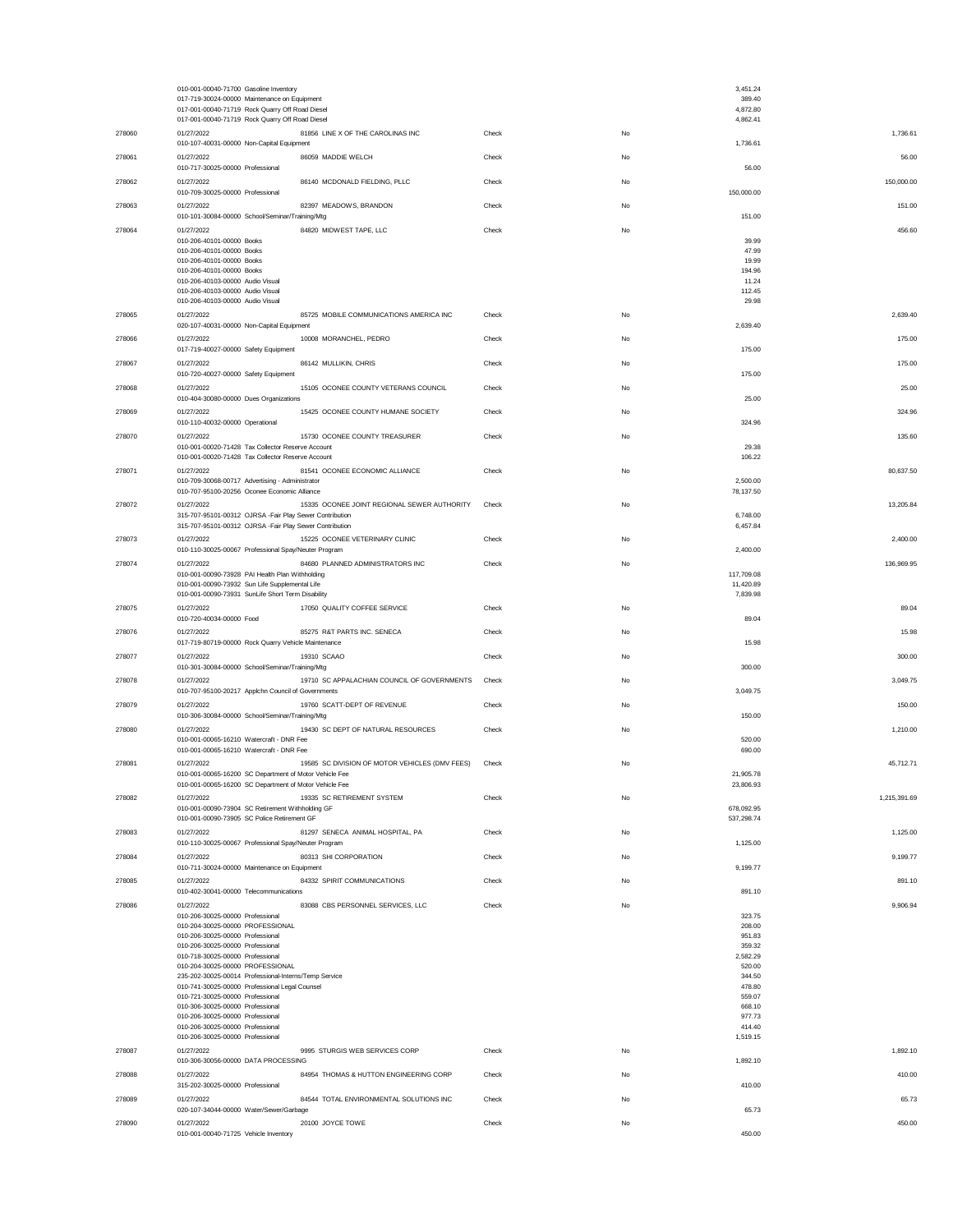|        | 010-001-00040-71700 Gasoline Inventory<br>017-719-30024-00000 Maintenance on Equipment<br>017-001-00040-71719 Rock Quarry Off Road Diesel |       |    | 3,451.24<br>389.40<br>4,872.80 |              |
|--------|-------------------------------------------------------------------------------------------------------------------------------------------|-------|----|--------------------------------|--------------|
| 278060 | 017-001-00040-71719 Rock Quarry Off Road Diesel<br>81856 LINE X OF THE CAROLINAS INC<br>01/27/2022                                        | Check | No | 4,862.41                       | 1,736.61     |
|        | 010-107-40031-00000 Non-Capital Equipment                                                                                                 |       |    | 1,736.61                       |              |
| 278061 | 01/27/2022<br>86059 MADDIE WELCH<br>010-717-30025-00000 Professional                                                                      | Check | No | 56.00                          | 56.00        |
| 278062 | 01/27/2022<br>86140 MCDONALD FIELDING, PLLC<br>010-709-30025-00000 Professional                                                           | Check | No | 150,000.00                     | 150,000.00   |
| 278063 | 01/27/2022<br>82397 MEADOWS, BRANDON<br>010-101-30084-00000 School/Seminar/Training/Mtg                                                   | Check | No | 151.00                         | 151.00       |
| 278064 | 01/27/2022<br>84820 MIDWEST TAPE, LLC<br>010-206-40101-00000 Books                                                                        | Check | No | 39.99                          | 456.60       |
|        | 010-206-40101-00000 Books                                                                                                                 |       |    | 47.99                          |              |
|        | 010-206-40101-00000 Books<br>010-206-40101-00000 Books                                                                                    |       |    | 19.99<br>194.96                |              |
|        | 010-206-40103-00000 Audio Visual<br>010-206-40103-00000 Audio Visual                                                                      |       |    | 11.24<br>112.45                |              |
| 278065 | 010-206-40103-00000 Audio Visual<br>01/27/2022<br>85725 MOBILE COMMUNICATIONS AMERICA INC                                                 | Check | No | 29.98                          | 2,639.40     |
|        | 020-107-40031-00000 Non-Capital Equipment                                                                                                 |       |    | 2,639.40                       |              |
| 278066 | 01/27/2022<br>10008 MORANCHEL, PEDRO<br>017-719-40027-00000 Safety Equipment                                                              | Check | No | 175.00                         | 175.00       |
| 278067 | 86142 MULLIKIN, CHRIS<br>01/27/2022<br>010-720-40027-00000 Safety Equipment                                                               | Check | No | 175.00                         | 175.00       |
| 278068 | 01/27/2022<br>15105 OCONEE COUNTY VETERANS COUNCIL<br>010-404-30080-00000 Dues Organizations                                              | Check | No | 25.00                          | 25.00        |
| 278069 | 01/27/2022<br>15425 OCONEE COUNTY HUMANE SOCIETY                                                                                          | Check | No |                                | 324.96       |
| 278070 | 010-110-40032-00000 Operational<br>15730 OCONEE COUNTY TREASURER<br>01/27/2022                                                            | Check | No | 324.96                         | 135.60       |
|        | 010-001-00020-71428 Tax Collector Reserve Account<br>010-001-00020-71428 Tax Collector Reserve Account                                    |       |    | 29.38<br>106.22                |              |
| 278071 | 01/27/2022<br>81541 OCONEE ECONOMIC ALLIANCE                                                                                              | Check | No |                                | 80,637.50    |
|        | 010-709-30068-00717 Advertising - Administrator<br>010-707-95100-20256 Oconee Economic Alliance                                           |       |    | 2,500.00<br>78,137.50          |              |
| 278072 | 01/27/2022<br>15335 OCONEE JOINT REGIONAL SEWER AUTHORITY<br>315-707-95101-00312 OJRSA -Fair Play Sewer Contribution                      | Check | No | 6,748.00                       | 13,205.84    |
|        | 315-707-95101-00312 OJRSA -Fair Play Sewer Contribution                                                                                   |       |    | 6,457.84                       |              |
| 278073 | 01/27/2022<br>15225 OCONEE VETERINARY CLINIC<br>010-110-30025-00067 Professional Spay/Neuter Program                                      | Check | No | 2,400.00                       | 2,400.00     |
| 278074 | 01/27/2022<br>84680 PLANNED ADMINISTRATORS INC<br>010-001-00090-73928 PAI Health Plan Withholding                                         | Check | No | 117,709.08                     | 136,969.95   |
|        | 010-001-00090-73932 Sun Life Supplemental Life<br>010-001-00090-73931 SunLife Short Term Disability                                       |       |    | 11,420.89<br>7,839.98          |              |
| 278075 | 01/27/2022<br>17050 QUALITY COFFEE SERVICE                                                                                                | Check | No |                                | 89.04        |
| 278076 | 010-720-40034-00000 Food<br>01/27/2022<br>85275 R&T PARTS INC. SENECA                                                                     | Check | No | 89.04                          | 15.98        |
| 278077 | 017-719-80719-00000 Rock Quarry Vehicle Maintenance<br>01/27/2022<br>19310 SCAAO                                                          | Check | No | 15.98                          | 300.00       |
|        | 010-301-30084-00000 School/Seminar/Training/Mtg                                                                                           |       |    | 300.00                         |              |
| 278078 | 01/27/2022<br>19710 SC APPALACHIAN COUNCIL OF GOVERNMENTS<br>010-707-95100-20217 Applchn Council of Governments                           | Check | No | 3,049.75                       | 3,049.75     |
| 278079 | 01/27/2022<br>19760 SCATT-DEPT OF REVENUE<br>010-306-30084-00000 School/Seminar/Training/Mtg                                              | Check | No | 150.00                         | 150.00       |
| 278080 | 01/27/2022<br>19430 SC DEPT OF NATURAL RESOURCES                                                                                          | Check | No |                                | 1,210.00     |
|        | 010-001-00065-16210 Watercraft - DNR Fee<br>010-001-00065-16210 Watercraft - DNR Fee                                                      |       |    | 520.00<br>690.00               |              |
| 278081 | 19585 SC DIVISION OF MOTOR VEHICLES (DMV FEES)<br>01/27/2022<br>010-001-00065-16200 SC Department of Motor Vehicle Fee                    | Check | No | 21,905.78                      | 45,712.71    |
|        | 010-001-00065-16200 SC Department of Motor Vehicle Fee                                                                                    |       |    | 23,806.93                      |              |
| 278082 | 01/27/2022<br>19335 SC RETIREMENT SYSTEM<br>010-001-00090-73904 SC Retirement Withholding GF                                              | Check | No | 678,092.95                     | 1,215,391.69 |
| 278083 | 010-001-00090-73905 SC Police Retirement GF<br>01/27/2022<br>81297 SENECA ANIMAL HOSPITAL, PA                                             | Check | No | 537,298.74                     | 1,125.00     |
| 278084 | 010-110-30025-00067 Professional Spay/Neuter Program<br>01/27/2022<br>80313 SHI CORPORATION                                               | Check | No | 1,125.00                       | 9,199.77     |
|        | 010-711-30024-00000 Maintenance on Equipment                                                                                              |       |    | 9,199.77                       |              |
| 278085 | 01/27/2022<br>84332 SPIRIT COMMUNICATIONS<br>010-402-30041-00000 Telecommunications                                                       | Check | No | 891.10                         | 891.10       |
| 278086 | 83088 CBS PERSONNEL SERVICES, LLC<br>01/27/2022<br>010-206-30025-00000 Professional                                                       | Check | No | 323.75                         | 9,906.94     |
|        | 010-204-30025-00000 PROFESSIONAL<br>010-206-30025-00000 Professional                                                                      |       |    | 208.00<br>951.83               |              |
|        | 010-206-30025-00000 Professional<br>010-718-30025-00000 Professional                                                                      |       |    | 359.32<br>2,582.29             |              |
|        | 010-204-30025-00000 PROFESSIONAL<br>235-202-30025-00014 Professional-Interns/Temp Service                                                 |       |    | 520.00<br>344.50               |              |
|        | 010-741-30025-00000 Professional Legal Counsel                                                                                            |       |    | 478.80                         |              |
|        | 010-721-30025-00000 Professional<br>010-306-30025-00000 Professional                                                                      |       |    | 559.07<br>668.10               |              |
|        | 010-206-30025-00000 Professional<br>010-206-30025-00000 Professional                                                                      |       |    | 977.73<br>414.40               |              |
| 278087 | 010-206-30025-00000 Professional<br>01/27/2022<br>9995 STURGIS WEB SERVICES CORP                                                          | Check | No | 1,519.15                       | 1,892.10     |
|        | 010-306-30056-00000 DATA PROCESSING                                                                                                       |       |    | 1,892.10                       |              |
| 278088 | 01/27/2022<br>84954 THOMAS & HUTTON ENGINEERING CORP<br>315-202-30025-00000 Professional                                                  | Check | No | 410.00                         | 410.00       |
| 278089 | 84544 TOTAL ENVIRONMENTAL SOLUTIONS INC<br>01/27/2022<br>020-107-34044-00000 Water/Sewer/Garbage                                          | Check | No | 65.73                          | 65.73        |
| 278090 | 01/27/2022<br>20100 JOYCE TOWE<br>010-001-00040-71725 Vehicle Inventory                                                                   | Check | No | 450.00                         | 450.00       |
|        |                                                                                                                                           |       |    |                                |              |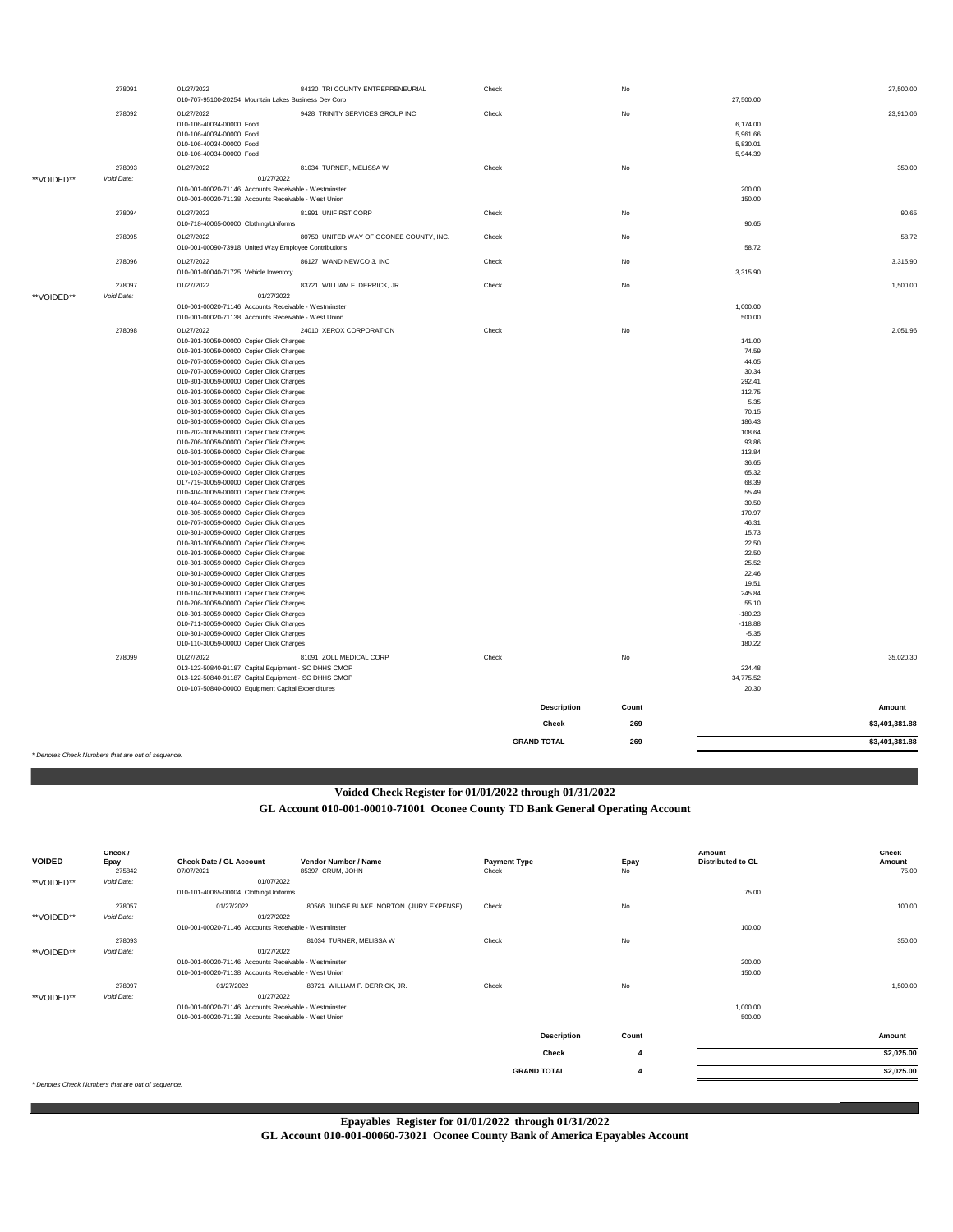|            | * Denotes Check Numbers that are out of sequence. |                                                                                                            |                                         |                             |            |                    |                                  |
|------------|---------------------------------------------------|------------------------------------------------------------------------------------------------------------|-----------------------------------------|-----------------------------|------------|--------------------|----------------------------------|
|            |                                                   |                                                                                                            |                                         | Check<br><b>GRAND TOTAL</b> | 269<br>269 |                    | \$3,401,381.88<br>\$3,401,381.88 |
|            |                                                   |                                                                                                            |                                         | <b>Description</b>          | Count      |                    | Amount                           |
|            |                                                   | 013-122-50840-91187 Capital Equipment - SC DHHS CMOP<br>010-107-50840-00000 Equipment Capital Expenditures |                                         |                             |            | 34,775.52<br>20.30 |                                  |
|            | 278099                                            | 01/27/2022<br>013-122-50840-91187 Capital Equipment - SC DHHS CMOP                                         | 81091 ZOLL MEDICAL CORP                 | Check                       | No         | 224.48             | 35,020.30                        |
|            |                                                   | 010-110-30059-00000 Copier Click Charges                                                                   |                                         |                             |            | 180.22             |                                  |
|            |                                                   | 010-301-30059-00000 Copier Click Charges                                                                   |                                         |                             |            | $-5.35$            |                                  |
|            |                                                   | 010-711-30059-00000 Copier Click Charges                                                                   |                                         |                             |            | $-118.88$          |                                  |
|            |                                                   | 010-206-30059-00000 Copier Click Charges<br>010-301-30059-00000 Copier Click Charges                       |                                         |                             |            | 55.10<br>$-180.23$ |                                  |
|            |                                                   | 010-104-30059-00000 Copier Click Charges                                                                   |                                         |                             |            | 245.84             |                                  |
|            |                                                   | 010-301-30059-00000 Copier Click Charges                                                                   |                                         |                             |            | 19.51              |                                  |
|            |                                                   | 010-301-30059-00000 Copier Click Charges                                                                   |                                         |                             |            | 22.46              |                                  |
|            |                                                   | 010-301-30059-00000 Copier Click Charges<br>010-301-30059-00000 Copier Click Charges                       |                                         |                             |            | 22.50<br>25.52     |                                  |
|            |                                                   | 010-301-30059-00000 Copier Click Charges                                                                   |                                         |                             |            | 22.50              |                                  |
|            |                                                   | 010-301-30059-00000 Copier Click Charges                                                                   |                                         |                             |            | 15.73              |                                  |
|            |                                                   | 010-707-30059-00000 Copier Click Charges                                                                   |                                         |                             |            | 46.31              |                                  |
|            |                                                   | 010-305-30059-00000 Copier Click Charges                                                                   |                                         |                             |            | 170.97             |                                  |
|            |                                                   | 010-404-30059-00000 Copier Click Charges<br>010-404-30059-00000 Copier Click Charges                       |                                         |                             |            | 55.49<br>30.50     |                                  |
|            |                                                   | 017-719-30059-00000 Copier Click Charges                                                                   |                                         |                             |            | 68.39              |                                  |
|            |                                                   | 010-103-30059-00000 Copier Click Charges                                                                   |                                         |                             |            | 65.32              |                                  |
|            |                                                   | 010-601-30059-00000 Copier Click Charges                                                                   |                                         |                             |            | 36.65              |                                  |
|            |                                                   | 010-706-30059-00000 Copier Click Charges<br>010-601-30059-00000 Copier Click Charges                       |                                         |                             |            | 93.86<br>113.84    |                                  |
|            |                                                   | 010-202-30059-00000 Copier Click Charges                                                                   |                                         |                             |            | 108.64             |                                  |
|            |                                                   | 010-301-30059-00000 Copier Click Charges                                                                   |                                         |                             |            | 186.43             |                                  |
|            |                                                   | 010-301-30059-00000 Copier Click Charges                                                                   |                                         |                             |            | 70.15              |                                  |
|            |                                                   | 010-301-30059-00000 Copier Click Charges<br>010-301-30059-00000 Copier Click Charges                       |                                         |                             |            | 112.75<br>5.35     |                                  |
|            |                                                   | 010-301-30059-00000 Copier Click Charges                                                                   |                                         |                             |            | 292.41             |                                  |
|            |                                                   | 010-707-30059-00000 Copier Click Charges                                                                   |                                         |                             |            | 30.34              |                                  |
|            |                                                   | 010-707-30059-00000 Copier Click Charges                                                                   |                                         |                             |            | 44.05              |                                  |
|            |                                                   | 010-301-30059-00000 Copier Click Charges                                                                   |                                         |                             |            | 74.59              |                                  |
|            | 278098                                            | 01/27/2022<br>010-301-30059-00000 Copier Click Charges                                                     | 24010 XEROX CORPORATION                 | Check                       | No         | 141.00             | 2,051.96                         |
|            |                                                   | 010-001-00020-71138 Accounts Receivable - West Union                                                       |                                         |                             |            | 500.00             |                                  |
|            |                                                   | 010-001-00020-71146 Accounts Receivable - Westminster                                                      |                                         |                             |            | 1,000.00           |                                  |
| **VOIDED** | Void Date:                                        |                                                                                                            | 01/27/2022                              |                             |            |                    |                                  |
|            | 278097                                            | 01/27/2022                                                                                                 | 83721 WILLIAM F. DERRICK, JR.           | Check                       | No         |                    | 1,500.00                         |
|            |                                                   | 010-001-00040-71725 Vehicle Inventory                                                                      |                                         |                             |            | 3,315.90           |                                  |
|            | 278096                                            | 01/27/2022                                                                                                 | 86127 WAND NEWCO 3, INC                 | Check                       | No         |                    | 3,315.90                         |
|            | 278095                                            | 01/27/2022<br>010-001-00090-73918 United Way Employee Contributions                                        | 80750 UNITED WAY OF OCONEE COUNTY, INC. | Check                       | No         | 58.72              | 58.72                            |
|            |                                                   | 010-718-40065-00000 Clothing/Uniforms                                                                      |                                         |                             |            | 90.65              |                                  |
|            | 278094                                            | 01/27/2022                                                                                                 | 81991 UNIFIRST CORP                     | Check                       | No         |                    | 90.65                            |
|            |                                                   | 010-001-00020-71138 Accounts Receivable - West Union                                                       |                                         |                             |            | 150.00             |                                  |
| **VOIDED** |                                                   | 010-001-00020-71146 Accounts Receivable - Westminster                                                      |                                         |                             |            | 200.00             |                                  |
|            | 278093<br>Void Date:                              | 01/27/2022                                                                                                 | 81034 TURNER, MELISSA W<br>01/27/2022   | Check                       | No         |                    | 350.00                           |
|            |                                                   | 010-106-40034-00000 Food                                                                                   |                                         |                             |            | 5,944.39           |                                  |
|            |                                                   | 010-106-40034-00000 Food                                                                                   |                                         |                             |            | 5,830.01           |                                  |
|            |                                                   | 010-106-40034-00000 Food<br>010-106-40034-00000 Food                                                       |                                         |                             |            | 5,961.66           |                                  |
|            | 278092                                            | 01/27/2022                                                                                                 | 9428 TRINITY SERVICES GROUP INC         | Check                       | No         | 6,174.00           | 23,910.06                        |
|            |                                                   | 010-707-95100-20254 Mountain Lakes Business Dev Corp                                                       |                                         |                             |            | 27,500.00          |                                  |
|            | 278091                                            | 01/27/2022                                                                                                 | 84130 TRI COUNTY ENTREPRENEURIAL        | Check                       | No         |                    | 27,500.00                        |
|            |                                                   |                                                                                                            |                                         |                             |            |                    |                                  |

## **Voided Check Register for 01/01/2022 through 01/31/2022**

**GL Account 010-001-00010-71001 Oconee County TD Bank General Operating Account**

|               | Check /                                           |                                                       |                                         |                     |                | Amount                   | <b>Check</b> |
|---------------|---------------------------------------------------|-------------------------------------------------------|-----------------------------------------|---------------------|----------------|--------------------------|--------------|
| <b>VOIDED</b> | Epay                                              | <b>Check Date / GL Account</b>                        | Vendor Number / Name                    | <b>Payment Type</b> | Epay           | <b>Distributed to GL</b> | Amount       |
|               | 275842                                            | 07/07/2021                                            | 85397 CRUM, JOHN                        | Check               | No             |                          | 75.00        |
| **VOIDED**    | Void Date:                                        | 01/07/2022                                            |                                         |                     |                |                          |              |
|               |                                                   | 010-101-40065-00004 Clothing/Uniforms                 |                                         |                     |                | 75.00                    |              |
|               | 278057                                            | 01/27/2022                                            | 80566 JUDGE BLAKE NORTON (JURY EXPENSE) | Check               | No             |                          | 100.00       |
| **VOIDED**    | Void Date:                                        | 01/27/2022                                            |                                         |                     |                |                          |              |
|               |                                                   | 010-001-00020-71146 Accounts Receivable - Westminster |                                         |                     |                | 100.00                   |              |
|               | 278093                                            |                                                       | 81034 TURNER, MELISSA W                 | Check               | No             |                          | 350.00       |
| **VOIDED**    | Void Date:                                        | 01/27/2022                                            |                                         |                     |                |                          |              |
|               |                                                   | 010-001-00020-71146 Accounts Receivable - Westminster |                                         |                     |                | 200.00                   |              |
|               |                                                   | 010-001-00020-71138 Accounts Receivable - West Union  |                                         |                     |                | 150.00                   |              |
|               | 278097                                            | 01/27/2022                                            | 83721 WILLIAM F. DERRICK, JR.           | Check               | No             |                          | 1,500.00     |
| **VOIDED**    | Void Date:                                        | 01/27/2022                                            |                                         |                     |                |                          |              |
|               |                                                   | 010-001-00020-71146 Accounts Receivable - Westminster |                                         |                     |                | 1,000.00                 |              |
|               |                                                   | 010-001-00020-71138 Accounts Receivable - West Union  |                                         |                     |                | 500.00                   |              |
|               |                                                   |                                                       |                                         |                     |                |                          |              |
|               |                                                   |                                                       |                                         | <b>Description</b>  | Count          |                          | Amount       |
|               |                                                   |                                                       |                                         | Check               | 4              |                          | \$2,025.00   |
|               |                                                   |                                                       |                                         |                     |                |                          |              |
|               |                                                   |                                                       |                                         | <b>GRAND TOTAL</b>  | $\overline{4}$ |                          | \$2,025.00   |
|               | * Denotes Check Numbers that are out of sequence. |                                                       |                                         |                     |                |                          |              |

**GL Account 010-001-00060-73021 Oconee County Bank of America Epayables Account Epayables Register for 01/01/2022 through 01/31/2022**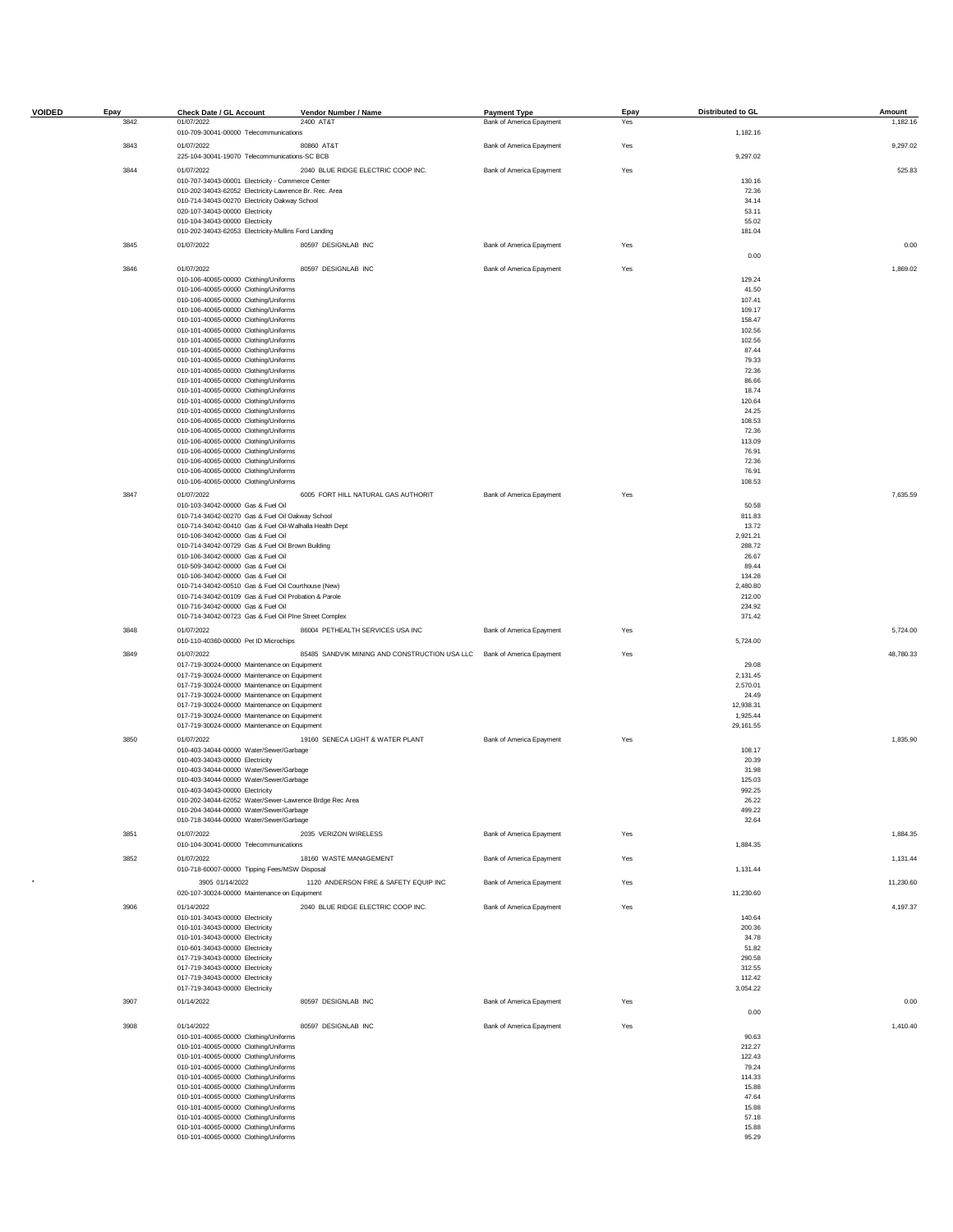| <b>VOIDED</b> | Epay | Check Date / GL Account                                                                                     | Vendor Number / Name                                                   | <b>Payment Type</b>      | Epay | Distributed to GL  | Amount    |
|---------------|------|-------------------------------------------------------------------------------------------------------------|------------------------------------------------------------------------|--------------------------|------|--------------------|-----------|
|               | 3842 | 01/07/2022                                                                                                  | 2400 AT&T                                                              | Bank of America Epayment | Yes  | 1,182.16           | 1,182.16  |
|               |      | 010-709-30041-00000 Telecommunications                                                                      |                                                                        |                          |      |                    |           |
|               | 3843 | 01/07/2022<br>225-104-30041-19070 Telecommunications-SC BCB                                                 | 80860 AT&T                                                             | Bank of America Epayment | Yes  |                    | 9,297.02  |
|               |      |                                                                                                             |                                                                        |                          |      | 9,297.02           |           |
|               | 3844 | 01/07/2022                                                                                                  | 2040 BLUE RIDGE ELECTRIC COOP INC.                                     | Bank of America Epayment | Yes  |                    | 525.83    |
|               |      | 010-707-34043-00001 Electricity - Commerce Center<br>010-202-34043-62052 Electricity-Lawrence Br. Rec. Area |                                                                        |                          |      | 130.16<br>72.36    |           |
|               |      | 010-714-34043-00270 Electricity Oakway School                                                               |                                                                        |                          |      | 34.14              |           |
|               |      | 020-107-34043-00000 Electricity                                                                             |                                                                        |                          |      | 53.11              |           |
|               |      | 010-104-34043-00000 Electricity                                                                             |                                                                        |                          |      | 55.02              |           |
|               |      | 010-202-34043-62053 Electricity-Mullins Ford Landing                                                        |                                                                        |                          |      | 181.04             |           |
|               | 3845 | 01/07/2022                                                                                                  | 80597 DESIGNLAB INC                                                    | Bank of America Epayment | Yes  | 0.00               | 0.00      |
|               | 3846 | 01/07/2022                                                                                                  | 80597 DESIGNLAB INC                                                    | Bank of America Epayment | Yes  |                    | 1,869.02  |
|               |      | 010-106-40065-00000 Clothing/Uniforms                                                                       |                                                                        |                          |      | 129.24             |           |
|               |      | 010-106-40065-00000 Clothing/Uniforms                                                                       |                                                                        |                          |      | 41.50<br>107.41    |           |
|               |      | 010-106-40065-00000 Clothing/Uniforms<br>010-106-40065-00000 Clothing/Uniforms                              |                                                                        |                          |      | 109.17             |           |
|               |      | 010-101-40065-00000 Clothing/Uniforms                                                                       |                                                                        |                          |      | 158.47             |           |
|               |      | 010-101-40065-00000 Clothing/Uniforms                                                                       |                                                                        |                          |      | 102.56             |           |
|               |      | 010-101-40065-00000 Clothing/Uniforms                                                                       |                                                                        |                          |      | 102.56             |           |
|               |      | 010-101-40065-00000 Clothing/Uniforms                                                                       |                                                                        |                          |      | 87.44              |           |
|               |      | 010-101-40065-00000 Clothing/Uniforms<br>010-101-40065-00000 Clothing/Uniforms                              |                                                                        |                          |      | 79.33<br>72.36     |           |
|               |      | 010-101-40065-00000 Clothing/Uniforms                                                                       |                                                                        |                          |      | 86.66              |           |
|               |      | 010-101-40065-00000 Clothing/Uniforms                                                                       |                                                                        |                          |      | 18.74              |           |
|               |      | 010-101-40065-00000 Clothing/Uniforms                                                                       |                                                                        |                          |      | 120.64             |           |
|               |      | 010-101-40065-00000 Clothing/Uniforms                                                                       |                                                                        |                          |      | 24.25              |           |
|               |      | 010-106-40065-00000 Clothing/Uniforms                                                                       |                                                                        |                          |      | 108.53             |           |
|               |      | 010-106-40065-00000 Clothing/Uniforms<br>010-106-40065-00000 Clothing/Uniforms                              |                                                                        |                          |      | 72.36<br>113.09    |           |
|               |      | 010-106-40065-00000 Clothing/Uniforms                                                                       |                                                                        |                          |      | 76.91              |           |
|               |      | 010-106-40065-00000 Clothing/Uniforms                                                                       |                                                                        |                          |      | 72.36              |           |
|               |      | 010-106-40065-00000 Clothing/Uniforms                                                                       |                                                                        |                          |      | 76.91              |           |
|               |      | 010-106-40065-00000 Clothing/Uniforms                                                                       |                                                                        |                          |      | 108.53             |           |
|               | 3847 | 01/07/2022                                                                                                  | 6005 FORT HILL NATURAL GAS AUTHORIT                                    | Bank of America Epayment | Yes  |                    | 7,635.59  |
|               |      | 010-103-34042-00000 Gas & Fuel Oil                                                                          |                                                                        |                          |      | 50.58              |           |
|               |      | 010-714-34042-00270 Gas & Fuel Oil Oakway School                                                            |                                                                        |                          |      | 811.83             |           |
|               |      | 010-714-34042-00410 Gas & Fuel Oil-Walhalla Health Dept                                                     |                                                                        |                          |      | 13.72              |           |
|               |      | 010-106-34042-00000 Gas & Fuel Oil<br>010-714-34042-00729 Gas & Fuel Oil Brown Building                     |                                                                        |                          |      | 2,921.21<br>288.72 |           |
|               |      | 010-106-34042-00000 Gas & Fuel Oil                                                                          |                                                                        |                          |      | 26.67              |           |
|               |      | 010-509-34042-00000 Gas & Fuel Oil                                                                          |                                                                        |                          |      | 89.44              |           |
|               |      | 010-106-34042-00000 Gas & Fuel Oil                                                                          |                                                                        |                          |      | 134.28             |           |
|               |      | 010-714-34042-00510 Gas & Fuel Oil Courthouse (New)                                                         |                                                                        |                          |      | 2,480.80           |           |
|               |      | 010-714-34042-00109 Gas & Fuel Oil Probation & Parole<br>010-716-34042-00000 Gas & Fuel Oil                 |                                                                        |                          |      | 212.00<br>234.92   |           |
|               |      | 010-714-34042-00723 Gas & Fuel Oil Plne Street Complex                                                      |                                                                        |                          |      | 371.42             |           |
|               | 3848 | 01/07/2022                                                                                                  | 86004 PETHEALTH SERVICES USA INC                                       | Bank of America Epayment | Yes  |                    | 5,724.00  |
|               |      | 010-110-40360-00000 Pet ID Microchips                                                                       |                                                                        |                          |      | 5,724.00           |           |
|               | 3849 | 01/07/2022                                                                                                  | 85485 SANDVIK MINING AND CONSTRUCTION USA LLC Bank of America Epayment |                          | Yes  |                    | 48,780.33 |
|               |      | 017-719-30024-00000 Maintenance on Equipment                                                                |                                                                        |                          |      | 29.08              |           |
|               |      | 017-719-30024-00000 Maintenance on Equipment                                                                |                                                                        |                          |      | 2,131.45           |           |
|               |      | 017-719-30024-00000 Maintenance on Equipment                                                                |                                                                        |                          |      | 2,570.01           |           |
|               |      | 017-719-30024-00000 Maintenance on Equipment<br>017-719-30024-00000 Maintenance on Equipment                |                                                                        |                          |      | 24.49<br>12,938.31 |           |
|               |      | 017-719-30024-00000 Maintenance on Equipment                                                                |                                                                        |                          |      | 1,925.44           |           |
|               |      | 017-719-30024-00000 Maintenance on Equipment                                                                |                                                                        |                          |      | 29,161.55          |           |
|               | 3850 | 01/07/2022                                                                                                  | 19160 SENECA LIGHT & WATER PLANT                                       | Bank of America Epayment | Yes  |                    | 1,835.90  |
|               |      | 010-403-34044-00000 Water/Sewer/Garbage                                                                     |                                                                        |                          |      | 108.17             |           |
|               |      | 010-403-34043-00000 Electricity                                                                             |                                                                        |                          |      | 20.39              |           |
|               |      | 010-403-34044-00000 Water/Sewer/Garbage                                                                     |                                                                        |                          |      | 31.98              |           |
|               |      | 010-403-34044-00000 Water/Sewer/Garbage<br>010-403-34043-00000 Electricity                                  |                                                                        |                          |      | 125.03<br>992.25   |           |
|               |      | 010-202-34044-62052 Water/Sewer-Lawrence Brdge Rec Area                                                     |                                                                        |                          |      | 26.22              |           |
|               |      | 010-204-34044-00000 Water/Sewer/Garbage                                                                     |                                                                        |                          |      | 499.22             |           |
|               |      | 010-718-34044-00000 Water/Sewer/Garbage                                                                     |                                                                        |                          |      | 32.64              |           |
|               | 3851 | 01/07/2022                                                                                                  | 2035 VERIZON WIRELESS                                                  | Bank of America Epayment | Yes  |                    | 1,884.35  |
|               |      | 010-104-30041-00000 Telecommunications                                                                      |                                                                        |                          |      | 1,884.35           |           |
|               | 3852 | 01/07/2022<br>010-718-60007-00000 Tipping Fees/MSW Disposal                                                 | 18160 WASTE MANAGEMENT                                                 | Bank of America Epayment | Yes  | 1,131.44           | 1,131.44  |
|               |      |                                                                                                             |                                                                        |                          |      |                    |           |
|               |      | 3905 01/14/2022                                                                                             | 1120 ANDERSON FIRE & SAFETY EQUIP INC                                  | Bank of America Epayment | Yes  |                    | 11,230.60 |
|               |      | 020-107-30024-00000 Maintenance on Equipment                                                                |                                                                        |                          |      | 11,230.60          |           |
|               | 3906 | 01/14/2022                                                                                                  | 2040 BLUE RIDGE ELECTRIC COOP INC.                                     | Bank of America Epayment | Yes  |                    | 4,197.37  |
|               |      | 010-101-34043-00000 Electricity<br>010-101-34043-00000 Electricity                                          |                                                                        |                          |      | 140.64<br>200.36   |           |
|               |      | 010-101-34043-00000 Electricity                                                                             |                                                                        |                          |      | 34.78              |           |
|               |      | 010-601-34043-00000 Electricity                                                                             |                                                                        |                          |      | 51.82              |           |
|               |      | 017-719-34043-00000 Electricity                                                                             |                                                                        |                          |      | 290.58             |           |
|               |      | 017-719-34043-00000 Electricity                                                                             |                                                                        |                          |      | 312.55             |           |
|               |      | 017-719-34043-00000 Electricity<br>017-719-34043-00000 Electricity                                          |                                                                        |                          |      | 112.42<br>3,054.22 |           |
|               | 3907 | 01/14/2022                                                                                                  | 80597 DESIGNLAB INC                                                    | Bank of America Epayment | Yes  |                    | 0.00      |
|               |      |                                                                                                             |                                                                        |                          |      | 0.00               |           |
|               | 3908 | 01/14/2022                                                                                                  | 80597 DESIGNLAB INC                                                    | Bank of America Epayment | Yes  |                    | 1,410.40  |
|               |      | 010-101-40065-00000 Clothing/Uniforms                                                                       |                                                                        |                          |      | 90.63              |           |
|               |      | 010-101-40065-00000 Clothing/Uniforms<br>010-101-40065-00000 Clothing/Uniforms                              |                                                                        |                          |      | 212.27<br>122.43   |           |
|               |      | 010-101-40065-00000 Clothing/Uniforms                                                                       |                                                                        |                          |      | 79.24              |           |
|               |      | 010-101-40065-00000 Clothing/Uniforms                                                                       |                                                                        |                          |      | 114.33             |           |
|               |      | 010-101-40065-00000 Clothing/Uniforms                                                                       |                                                                        |                          |      | 15.88              |           |
|               |      | 010-101-40065-00000 Clothing/Uniforms                                                                       |                                                                        |                          |      | 47.64              |           |
|               |      | 010-101-40065-00000 Clothing/Uniforms                                                                       |                                                                        |                          |      | 15.88              |           |
|               |      | 010-101-40065-00000 Clothing/Uniforms<br>010-101-40065-00000 Clothing/Uniforms                              |                                                                        |                          |      | 57.18<br>15.88     |           |
|               |      | 010-101-40065-00000 Clothing/Uniforms                                                                       |                                                                        |                          |      | 95.29              |           |
|               |      |                                                                                                             |                                                                        |                          |      |                    |           |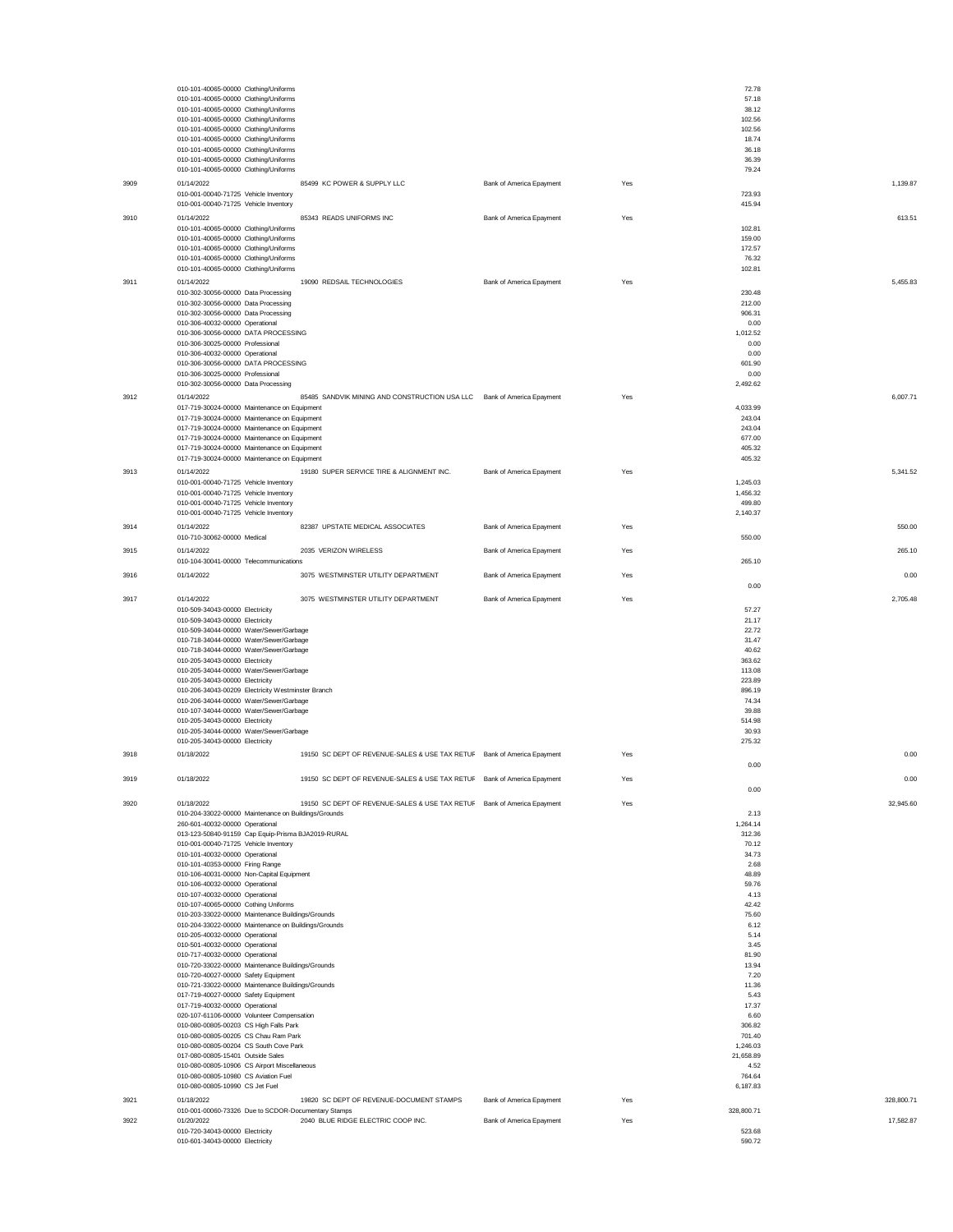|      | 010-101-40065-00000 Clothing/Uniforms<br>010-101-40065-00000 Clothing/Uniforms                |                                                                         |                          |     | 72.78<br>57.18     |            |
|------|-----------------------------------------------------------------------------------------------|-------------------------------------------------------------------------|--------------------------|-----|--------------------|------------|
|      | 010-101-40065-00000 Clothing/Uniforms                                                         |                                                                         |                          |     | 38.12              |            |
|      | 010-101-40065-00000 Clothing/Uniforms<br>010-101-40065-00000 Clothing/Uniforms                |                                                                         |                          |     | 102.56<br>102.56   |            |
|      | 010-101-40065-00000 Clothing/Uniforms                                                         |                                                                         |                          |     | 18.74              |            |
|      | 010-101-40065-00000 Clothing/Uniforms<br>010-101-40065-00000 Clothing/Uniforms                |                                                                         |                          |     | 36.18<br>36.39     |            |
|      | 010-101-40065-00000 Clothing/Uniforms                                                         |                                                                         |                          |     | 79.24              |            |
| 3909 | 01/14/2022<br>010-001-00040-71725 Vehicle Inventory                                           | 85499 KC POWER & SUPPLY LLC                                             | Bank of America Epayment | Yes | 723.93             | 1.139.87   |
|      | 010-001-00040-71725 Vehicle Inventory                                                         |                                                                         |                          |     | 415.94             |            |
| 3910 | 01/14/2022                                                                                    | 85343 READS UNIFORMS INC                                                | Bank of America Epayment | Yes |                    | 613.51     |
|      | 010-101-40065-00000 Clothing/Uniforms<br>010-101-40065-00000 Clothing/Uniforms                |                                                                         |                          |     | 102.81<br>159.00   |            |
|      | 010-101-40065-00000 Clothing/Uniforms                                                         |                                                                         |                          |     | 172.57             |            |
|      | 010-101-40065-00000 Clothing/Uniforms<br>010-101-40065-00000 Clothing/Uniforms                |                                                                         |                          |     | 76.32<br>102.81    |            |
| 3911 | 01/14/2022                                                                                    | 19090 REDSAIL TECHNOLOGIES                                              | Bank of America Epayment | Yes |                    | 5,455.83   |
|      | 010-302-30056-00000 Data Processing                                                           |                                                                         |                          |     | 230.48             |            |
|      | 010-302-30056-00000 Data Processing<br>010-302-30056-00000 Data Processing                    |                                                                         |                          |     | 212.00<br>906.31   |            |
|      | 010-306-40032-00000 Operational<br>010-306-30056-00000 DATA PROCESSING                        |                                                                         |                          |     | 0.00<br>1,012.52   |            |
|      | 010-306-30025-00000 Professional                                                              |                                                                         |                          |     | 0.00               |            |
|      | 010-306-40032-00000 Operational<br>010-306-30056-00000 DATA PROCESSING                        |                                                                         |                          |     | 0.00<br>601.90     |            |
|      | 010-306-30025-00000 Professional                                                              |                                                                         |                          |     | 0.00               |            |
|      | 010-302-30056-00000 Data Processing                                                           |                                                                         |                          |     | 2,492.62           |            |
| 3912 | 01/14/2022<br>017-719-30024-00000 Maintenance on Equipment                                    | 85485 SANDVIK MINING AND CONSTRUCTION USA LLC Bank of America Epayment  |                          | Yes | 4,033.99           | 6,007.71   |
|      | 017-719-30024-00000 Maintenance on Equipment                                                  |                                                                         |                          |     | 243.04             |            |
|      | 017-719-30024-00000 Maintenance on Equipment<br>017-719-30024-00000 Maintenance on Equipment  |                                                                         |                          |     | 243.04<br>677.00   |            |
|      | 017-719-30024-00000 Maintenance on Equipment                                                  |                                                                         |                          |     | 405.32             |            |
|      | 017-719-30024-00000 Maintenance on Equipment                                                  |                                                                         |                          |     | 405.32             |            |
| 3913 | 01/14/2022<br>010-001-00040-71725 Vehicle Inventory                                           | 19180 SUPER SERVICE TIRE & ALIGNMENT INC.                               | Bank of America Epayment | Yes | 1,245.03           | 5,341.52   |
|      | 010-001-00040-71725 Vehicle Inventory                                                         |                                                                         |                          |     | 1,456.32           |            |
|      | 010-001-00040-71725 Vehicle Inventory<br>010-001-00040-71725 Vehicle Inventory                |                                                                         |                          |     | 499.80<br>2,140.37 |            |
| 3914 | 01/14/2022                                                                                    | 82387 UPSTATE MEDICAL ASSOCIATES                                        | Bank of America Epayment | Yes |                    | 550.00     |
|      | 010-710-30062-00000 Medical                                                                   |                                                                         |                          |     | 550.00             |            |
| 3915 | 01/14/2022<br>010-104-30041-00000 Telecommunications                                          | 2035 VERIZON WIRELESS                                                   | Bank of America Epayment | Yes | 265.10             | 265.10     |
| 3916 | 01/14/2022                                                                                    | 3075 WESTMINSTER UTILITY DEPARTMENT                                     | Bank of America Epayment | Yes |                    | 0.00       |
|      |                                                                                               |                                                                         |                          |     | 0.00               |            |
| 3917 | 01/14/2022<br>010-509-34043-00000 Electricity                                                 | 3075 WESTMINSTER UTILITY DEPARTMENT                                     | Bank of America Epayment | Yes | 57.27              | 2,705.48   |
|      | 010-509-34043-00000 Electricity                                                               |                                                                         |                          |     | 21.17              |            |
|      | 010-509-34044-00000 Water/Sewer/Garbage<br>010-718-34044-00000 Water/Sewer/Garbage            |                                                                         |                          |     | 22.72<br>31.47     |            |
|      | 010-718-34044-00000 Water/Sewer/Garbage                                                       |                                                                         |                          |     | 40.62              |            |
|      | 010-205-34043-00000 Electricity<br>010-205-34044-00000 Water/Sewer/Garbage                    |                                                                         |                          |     | 363.62<br>113.08   |            |
|      | 010-205-34043-00000 Electricity                                                               |                                                                         |                          |     | 223.89             |            |
|      | 010-206-34043-00209 Electricity Westminster Branch<br>010-206-34044-00000 Water/Sewer/Garbage |                                                                         |                          |     | 896.19<br>74.34    |            |
|      | 010-107-34044-00000 Water/Sewer/Garbage                                                       |                                                                         |                          |     | 39.88              |            |
|      | 010-205-34043-00000 Electricity<br>010-205-34044-00000 Water/Sewer/Garbage                    |                                                                         |                          |     | 514.98<br>30.93    |            |
|      | 010-205-34043-00000 Electricity                                                               |                                                                         |                          |     | 275.32             |            |
| 3918 | 01/18/2022                                                                                    | 19150 SC DEPT OF REVENUE-SALES & USE TAX RETUF Bank of America Epayment |                          | Yes | 0.00               | 0.00       |
| 3919 | 01/18/2022                                                                                    | 19150 SC DEPT OF REVENUE-SALES & USE TAX RETUF Bank of America Epayment |                          | Yes |                    | 0.00       |
|      |                                                                                               |                                                                         |                          |     | 0.00               |            |
| 3920 | 01/18/2022<br>010-204-33022-00000 Maintenance on Buildings/Grounds                            | 19150 SC DEPT OF REVENUE-SALES & USE TAX RETUF Bank of America Epayment |                          | Yes | 2.13               | 32,945.60  |
|      | 260-601-40032-00000 Operational                                                               |                                                                         |                          |     | 1,264.14           |            |
|      | 013-123-50840-91159 Cap Equip-Prisma BJA2019-RURAL<br>010-001-00040-71725 Vehicle Inventory   |                                                                         |                          |     | 312.36<br>70.12    |            |
|      | 010-101-40032-00000 Operational                                                               |                                                                         |                          |     | 34.73              |            |
|      | 010-101-40353-00000 Firing Range<br>010-106-40031-00000 Non-Capital Equipment                 |                                                                         |                          |     | 2.68<br>48.89      |            |
|      | 010-106-40032-00000 Operational                                                               |                                                                         |                          |     | 59.76              |            |
|      | 010-107-40032-00000 Operational<br>010-107-40065-00000 Cothing Uniforms                       |                                                                         |                          |     | 4.13<br>42.42      |            |
|      | 010-203-33022-00000 Maintenance Buildings/Grounds                                             |                                                                         |                          |     | 75.60              |            |
|      | 010-204-33022-00000 Maintenance on Buildings/Grounds<br>010-205-40032-00000 Operational       |                                                                         |                          |     | 6.12<br>5.14       |            |
|      | 010-501-40032-00000 Operational                                                               |                                                                         |                          |     | 3.45               |            |
|      | 010-717-40032-00000 Operational<br>010-720-33022-00000 Maintenance Buildings/Grounds          |                                                                         |                          |     | 81.90<br>13.94     |            |
|      | 010-720-40027-00000 Safety Equipment                                                          |                                                                         |                          |     | 7.20<br>11.36      |            |
|      | 010-721-33022-00000 Maintenance Buildings/Grounds<br>017-719-40027-00000 Safety Equipment     |                                                                         |                          |     | 5.43               |            |
|      | 017-719-40032-00000 Operational<br>020-107-61106-00000 Volunteer Compensation                 |                                                                         |                          |     | 17.37<br>6.60      |            |
|      | 010-080-00805-00203 CS High Falls Park                                                        |                                                                         |                          |     | 306.82             |            |
|      | 010-080-00805-00205 CS Chau Ram Park<br>010-080-00805-00204 CS South Cove Park                |                                                                         |                          |     | 701.40<br>1,246.03 |            |
|      | 017-080-00805-15401 Outside Sales                                                             |                                                                         |                          |     | 21,658.89          |            |
|      | 010-080-00805-10906 CS Airport Miscellaneous<br>010-080-00805-10980 CS Aviation Fuel          |                                                                         |                          |     | 4.52<br>764.64     |            |
|      | 010-080-00805-10990 CS Jet Fuel                                                               |                                                                         |                          |     | 6,187.83           |            |
| 3921 | 01/18/2022<br>010-001-00060-73326 Due to SCDOR-Documentary Stamps                             | 19820 SC DEPT OF REVENUE-DOCUMENT STAMPS                                | Bank of America Epayment | Yes | 328,800.71         | 328,800.71 |
| 3922 | 01/20/2022                                                                                    | 2040 BLUE RIDGE ELECTRIC COOP INC.                                      | Bank of America Epayment | Yes |                    | 17,582.87  |
|      | 010-720-34043-00000 Electricity<br>010-601-34043-00000 Electricity                            |                                                                         |                          |     | 523.68<br>590.72   |            |
|      |                                                                                               |                                                                         |                          |     |                    |            |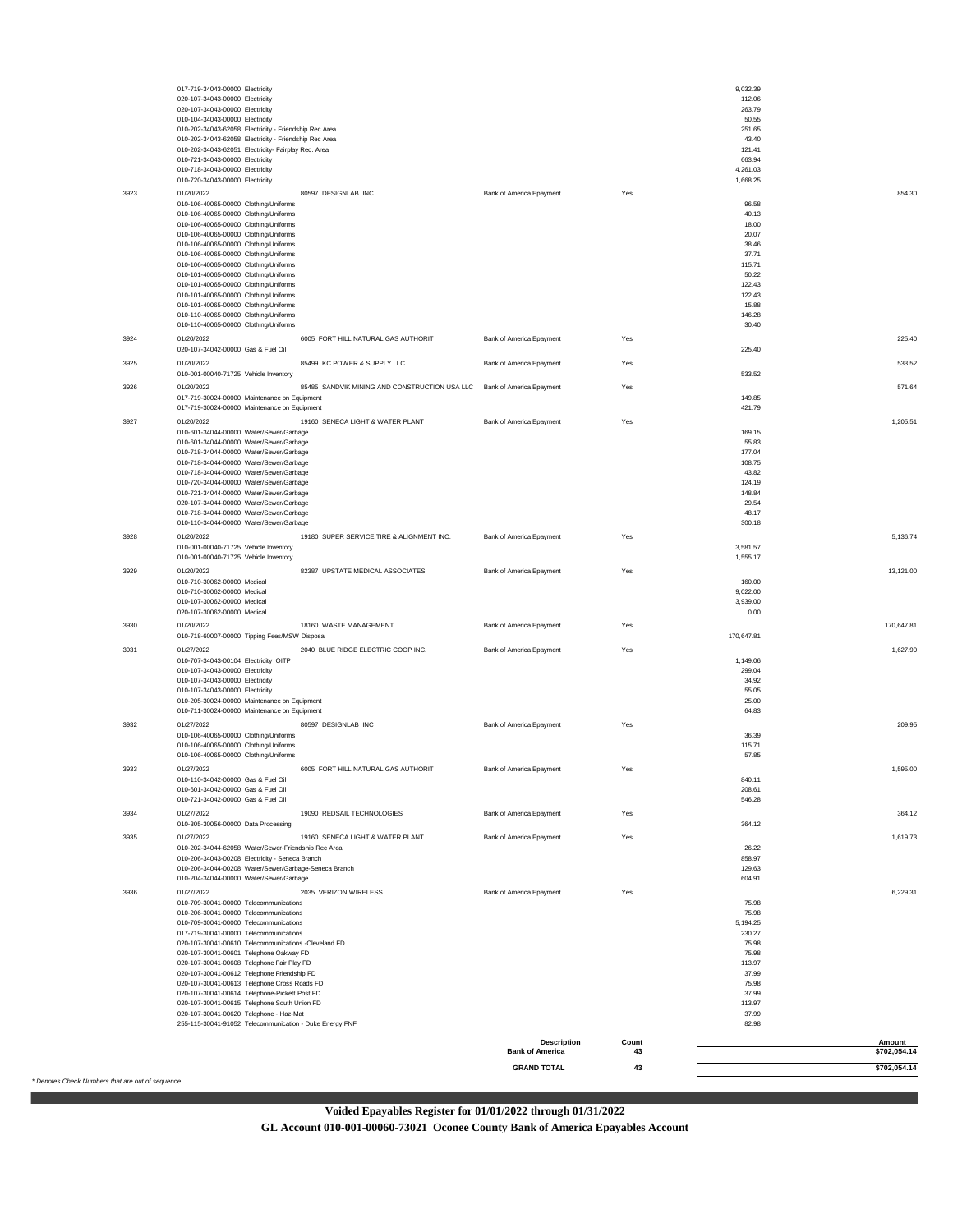|      | 017-719-34043-00000 Electricity                                                                        |                                              |             | 9,032.39         |                        |
|------|--------------------------------------------------------------------------------------------------------|----------------------------------------------|-------------|------------------|------------------------|
|      | 020-107-34043-00000 Electricity<br>020-107-34043-00000 Electricity                                     |                                              |             | 112.06<br>263.79 |                        |
|      | 010-104-34043-00000 Electricity                                                                        |                                              |             | 50.55            |                        |
|      | 010-202-34043-62058 Electricity - Friendship Rec Area                                                  |                                              |             | 251.65           |                        |
|      | 010-202-34043-62058 Electricity - Friendship Rec Area                                                  |                                              |             | 43.40<br>121.41  |                        |
|      | 010-202-34043-62051 Electricity- Fairplay Rec. Area<br>010-721-34043-00000 Electricity                 |                                              |             | 663.94           |                        |
|      | 010-718-34043-00000 Electricity                                                                        |                                              |             | 4,261.03         |                        |
|      | 010-720-34043-00000 Electricity                                                                        |                                              |             | 1,668.25         |                        |
| 3923 | 01/20/2022<br>80597 DESIGNLAB INC                                                                      | Bank of America Epayment                     | Yes         |                  | 854.30                 |
|      | 010-106-40065-00000 Clothing/Uniforms<br>010-106-40065-00000 Clothing/Uniforms                         |                                              |             | 96.58<br>40.13   |                        |
|      | 010-106-40065-00000 Clothing/Uniforms                                                                  |                                              |             | 18.00            |                        |
|      | 010-106-40065-00000 Clothing/Uniforms                                                                  |                                              |             | 20.07            |                        |
|      | 010-106-40065-00000 Clothing/Uniforms<br>010-106-40065-00000 Clothing/Uniforms                         |                                              |             | 38.46<br>37.71   |                        |
|      | 010-106-40065-00000 Clothing/Uniforms                                                                  |                                              |             | 115.71           |                        |
|      | 010-101-40065-00000 Clothing/Uniforms                                                                  |                                              |             | 50.22<br>122.43  |                        |
|      | 010-101-40065-00000 Clothing/Uniforms<br>010-101-40065-00000 Clothing/Uniforms                         |                                              |             | 122.43           |                        |
|      | 010-101-40065-00000 Clothing/Uniforms                                                                  |                                              |             | 15.88            |                        |
|      | 010-110-40065-00000 Clothing/Uniforms<br>010-110-40065-00000 Clothing/Uniforms                         |                                              |             | 146.28<br>30.40  |                        |
| 3924 | 01/20/2022<br>6005 FORT HILL NATURAL GAS AUTHORIT                                                      | Bank of America Epayment                     | Yes         |                  | 225.40                 |
|      | 020-107-34042-00000 Gas & Fuel Oil                                                                     |                                              |             | 225.40           |                        |
| 3925 | 01/20/2022<br>85499 KC POWER & SUPPLY LLC                                                              | Bank of America Epayment                     | Yes         |                  | 533.52                 |
|      | 010-001-00040-71725 Vehicle Inventory                                                                  |                                              |             | 533.52           |                        |
| 3926 | 01/20/2022<br>85485 SANDVIK MINING AND CONSTRUCTION USA LLC Bank of America Epayment                   |                                              | Yes         |                  | 571.64                 |
|      | 017-719-30024-00000 Maintenance on Equipment                                                           |                                              |             | 149.85           |                        |
|      | 017-719-30024-00000 Maintenance on Equipment                                                           |                                              |             | 421.79           |                        |
| 3927 | 19160 SENECA LIGHT & WATER PLANT<br>01/20/2022<br>010-601-34044-00000 Water/Sewer/Garbage              | Bank of America Epayment                     | Yes         | 169.15           | 1,205.51               |
|      | 010-601-34044-00000 Water/Sewer/Garbage                                                                |                                              |             | 55.83            |                        |
|      | 010-718-34044-00000 Water/Sewer/Garbage                                                                |                                              |             | 177.04           |                        |
|      | 010-718-34044-00000 Water/Sewer/Garbage<br>010-718-34044-00000 Water/Sewer/Garbage                     |                                              |             | 108.75<br>43.82  |                        |
|      | 010-720-34044-00000 Water/Sewer/Garbage                                                                |                                              |             | 124.19           |                        |
|      | 010-721-34044-00000 Water/Sewer/Garbage                                                                |                                              |             | 148.84           |                        |
|      | 020-107-34044-00000 Water/Sewer/Garbage<br>010-718-34044-00000 Water/Sewer/Garbage                     |                                              |             | 29.54<br>48.17   |                        |
|      | 010-110-34044-00000 Water/Sewer/Garbage                                                                |                                              |             | 300.18           |                        |
| 3928 | 01/20/2022<br>19180 SUPER SERVICE TIRE & ALIGNMENT INC.                                                | Bank of America Epayment                     | Yes         |                  | 5,136.74               |
|      | 010-001-00040-71725 Vehicle Inventory                                                                  |                                              |             | 3,581.57         |                        |
|      | 010-001-00040-71725 Vehicle Inventory                                                                  |                                              |             | 1,555.17         |                        |
| 3929 | 01/20/2022<br>82387 UPSTATE MEDICAL ASSOCIATES<br>010-710-30062-00000 Medical                          | Bank of America Epayment                     | Yes         | 160.00           | 13,121.00              |
|      | 010-710-30062-00000 Medical                                                                            |                                              |             | 9,022.00         |                        |
|      | 010-107-30062-00000 Medical<br>020-107-30062-00000 Medical                                             |                                              |             | 3,939.00<br>0.00 |                        |
| 3930 | 01/20/2022<br>18160 WASTE MANAGEMENT                                                                   | Bank of America Epayment                     | Yes         |                  | 170,647.81             |
|      | 010-718-60007-00000 Tipping Fees/MSW Disposal                                                          |                                              |             | 170,647.81       |                        |
| 3931 | 01/27/2022<br>2040 BLUE RIDGE ELECTRIC COOP INC.                                                       | Bank of America Epayment                     | Yes         |                  | 1,627.90               |
|      | 010-707-34043-00104 Electricity OITP                                                                   |                                              |             | 1,149.06         |                        |
|      | 010-107-34043-00000 Electricity<br>010-107-34043-00000 Electricity                                     |                                              |             | 299.04<br>34.92  |                        |
|      | 010-107-34043-00000 Electricity                                                                        |                                              |             | 55.05            |                        |
|      | 010-205-30024-00000 Maintenance on Equipment                                                           |                                              |             | 25.00            |                        |
|      | 010-711-30024-00000 Maintenance on Equipment                                                           |                                              |             | 64.83            |                        |
| 3932 | 01/27/2022<br>80597 DESIGNLAB INC<br>010-106-40065-00000 Clothing/Uniforms                             | Bank of America Epayment                     | Yes         | 36.39            | 209.95                 |
|      | 010-106-40065-00000 Clothing/Uniforms                                                                  |                                              |             | 115.71           |                        |
|      | 010-106-40065-00000 Clothing/Uniforms                                                                  |                                              |             | 57.85            |                        |
| 3933 | 01/27/2022<br>6005 FORT HILL NATURAL GAS AUTHORIT                                                      | Bank of America Epayment                     | Yes         |                  | 1,595.00               |
|      | 010-110-34042-00000 Gas & Fuel Oil<br>010-601-34042-00000 Gas & Fuel Oil                               |                                              |             | 840.11<br>208.61 |                        |
|      | 010-721-34042-00000 Gas & Fuel Oil                                                                     |                                              |             | 546.28           |                        |
| 3934 | 01/27/2022<br>19090 REDSAIL TECHNOLOGIES                                                               | Bank of America Epayment                     | Yes         |                  | 364.12                 |
|      | 010-305-30056-00000 Data Processing                                                                    |                                              |             | 364.12           |                        |
| 3935 | 01/27/2022<br>19160 SENECA LIGHT & WATER PLANT                                                         | Bank of America Epayment                     | Yes         |                  | 1,619.73               |
|      | 010-202-34044-62058 Water/Sewer-Friendship Rec Area<br>010-206-34043-00208 Electricity - Seneca Branch |                                              |             | 26.22<br>858.97  |                        |
|      | 010-206-34044-00208 Water/Sewer/Garbage-Seneca Branch                                                  |                                              |             | 129.63           |                        |
|      | 010-204-34044-00000 Water/Sewer/Garbage                                                                |                                              |             | 604.91           |                        |
| 3936 | 01/27/2022<br>2035 VERIZON WIRELESS                                                                    | Bank of America Epayment                     | Yes         |                  | 6,229.31               |
|      | 010-709-30041-00000 Telecommunications<br>010-206-30041-00000 Telecommunications                       |                                              |             | 75.98<br>75.98   |                        |
|      | 010-709-30041-00000 Telecommunications                                                                 |                                              |             | 5,194.25         |                        |
|      | 017-719-30041-00000 Telecommunications                                                                 |                                              |             | 230.27           |                        |
|      | 020-107-30041-00610 Telecommunications -Cleveland FD<br>020-107-30041-00601 Telephone Oakway FD        |                                              |             | 75.98<br>75.98   |                        |
|      | 020-107-30041-00608 Telephone Fair Play FD                                                             |                                              |             | 113.97           |                        |
|      | 020-107-30041-00612 Telephone Friendship FD                                                            |                                              |             | 37.99            |                        |
|      | 020-107-30041-00613 Telephone Cross Roads FD<br>020-107-30041-00614 Telephone-Pickett Post FD          |                                              |             | 75.98<br>37.99   |                        |
|      | 020-107-30041-00615 Telephone South Union FD                                                           |                                              |             | 113.97           |                        |
|      | 020-107-30041-00620 Telephone - Haz-Mat<br>255-115-30041-91052 Telecommunication - Duke Energy FNF     |                                              |             | 37.99<br>82.98   |                        |
|      |                                                                                                        |                                              |             |                  |                        |
|      |                                                                                                        | <b>Description</b><br><b>Bank of America</b> | Count<br>43 |                  | Amount<br>\$702,054.14 |
|      |                                                                                                        | <b>GRAND TOTAL</b>                           |             |                  | \$702,054.14           |
|      |                                                                                                        |                                              | 43          |                  |                        |

*\* Denotes Check Numbers that are out of sequence.*

**Voided Epayables Register for 01/01/2022 through 01/31/2022 GL Account 010-001-00060-73021 Oconee County Bank of America Epayables Account**